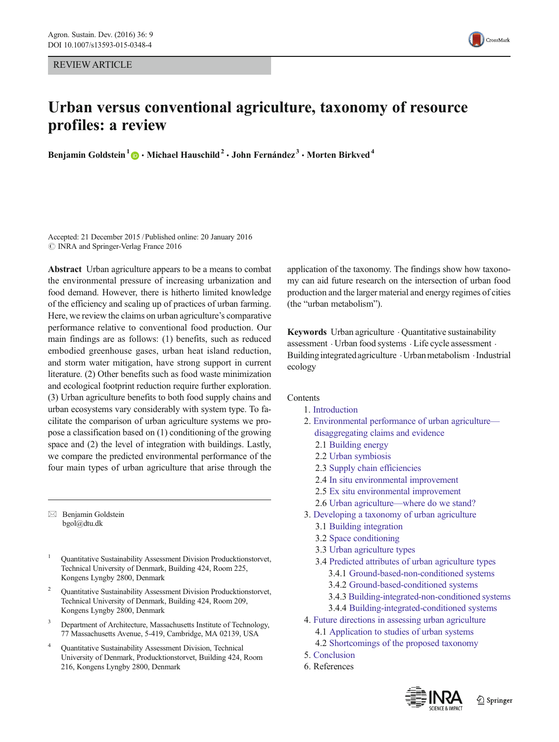REVIEW ARTICLE

# CrossMark

# Urban versus conventional agriculture, taxonomy of resource profiles: a review

Benjamin Goldstein<sup>1</sup>  $\cdot$  Michael Hauschild<sup>2</sup>  $\cdot$  John Fernández<sup>3</sup>  $\cdot$  Morten Birkved<sup>4</sup>

Accepted: 21 December 2015 /Published online: 20 January 2016 © INRA and Springer-Verlag France 2016

Abstract Urban agriculture appears to be a means to combat the environmental pressure of increasing urbanization and food demand. However, there is hitherto limited knowledge of the efficiency and scaling up of practices of urban farming. Here, we review the claims on urban agriculture's comparative performance relative to conventional food production. Our main findings are as follows: (1) benefits, such as reduced embodied greenhouse gases, urban heat island reduction, and storm water mitigation, have strong support in current literature. (2) Other benefits such as food waste minimization and ecological footprint reduction require further exploration. (3) Urban agriculture benefits to both food supply chains and urban ecosystems vary considerably with system type. To facilitate the comparison of urban agriculture systems we propose a classification based on (1) conditioning of the growing space and (2) the level of integration with buildings. Lastly, we compare the predicted environmental performance of the four main types of urban agriculture that arise through the

 $\boxtimes$  Benjamin Goldstein bgol@dtu.dk

- <sup>1</sup> Quantitative Sustainability Assessment Division Producktionstorvet, Technical University of Denmark, Building 424, Room 225, Kongens Lyngby 2800, Denmark
- <sup>2</sup> Ouantitative Sustainability Assessment Division Producktionstorvet, Technical University of Denmark, Building 424, Room 209, Kongens Lyngby 2800, Denmark
- Department of Architecture, Massachusetts Institute of Technology, 77 Massachusetts Avenue, 5-419, Cambridge, MA 02139, USA
- <sup>4</sup> Quantitative Sustainability Assessment Division, Technical University of Denmark, Producktionstorvet, Building 424, Room 216, Kongens Lyngby 2800, Denmark

application of the taxonomy. The findings show how taxonomy can aid future research on the intersection of urban food production and the larger material and energy regimes of cities (the "urban metabolism").

Keywords Urban agriculture . Quantitative sustainability assessment . Urban food systems . Life cycle assessment . Building integrated agriculture  $\cdot$  Urban metabolism  $\cdot$  Industrial ecology

**Contents** 

- 1. [Introduction](#page-1-0)
- 2. [Environmental performance of urban agriculture](#page-2-0) [disaggregating claims and evidence](#page-2-0)
	- 2.1 [Building energy](#page-2-0)
	- 2.2 [Urban symbiosis](#page-4-0)
	- 2.3 [Supply chain efficiencies](#page-5-0)
	- 2.4 [In situ environmental improvement](#page-5-0)
	- 2.5 [Ex situ environmental improvement](#page-6-0)
	- 2.6 Urban agriculture—[where do we stand?](#page-6-0)
- 3. [Developing a taxonomy of urban agriculture](#page-7-0)
	- 3.1 [Building integration](#page-7-0)
	- 3.2 [Space conditioning](#page-8-0)
	- 3.3 [Urban agriculture types](#page-8-0)
	- 3.4 [Predicted attributes of urban agriculture types](#page-8-0) 3.4.1 [Ground-based-non-conditioned systems](#page-9-0) 3.4.2 [Ground-based-conditioned systems](#page-9-0)
		- 3.4.3 [Building-integrated-non-conditioned systems](#page-11-0)
		- 3.4.4 [Building-integrated-conditioned systems](#page-12-0)
- 4. [Future directions in assessing urban agriculture](#page-12-0) 4.1 [Application to studies of urban systems](#page-14-0)
	- 4.2 [Shortcomings of the proposed taxonomy](#page-14-0)
- 5. [Conclusion](#page-15-0)
- 6. References

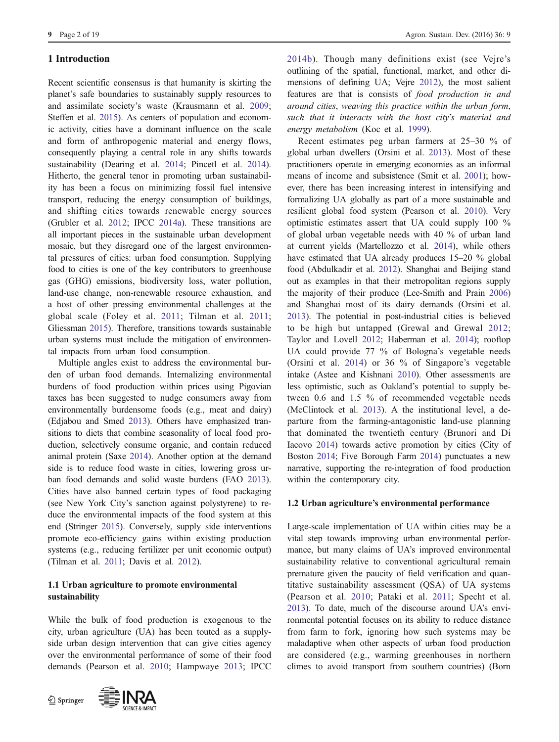## <span id="page-1-0"></span>1 Introduction

Recent scientific consensus is that humanity is skirting the planet's safe boundaries to sustainably supply resources to and assimilate society's waste (Krausmann et al. [2009](#page-17-0); Steffen et al. [2015\)](#page-18-0). As centers of population and economic activity, cities have a dominant influence on the scale and form of anthropogenic material and energy flows, consequently playing a central role in any shifts towards sustainability (Dearing et al. [2014;](#page-16-0) Pincetl et al. [2014](#page-17-0)). Hitherto, the general tenor in promoting urban sustainability has been a focus on minimizing fossil fuel intensive transport, reducing the energy consumption of buildings, and shifting cities towards renewable energy sources (Grubler et al. [2012](#page-16-0); IPCC [2014a](#page-16-0)). These transitions are all important pieces in the sustainable urban development mosaic, but they disregard one of the largest environmental pressures of cities: urban food consumption. Supplying food to cities is one of the key contributors to greenhouse gas (GHG) emissions, biodiversity loss, water pollution, land-use change, non-renewable resource exhaustion, and a host of other pressing environmental challenges at the global scale (Foley et al. [2011](#page-16-0); Tilman et al. [2011](#page-18-0); Gliessman [2015](#page-16-0)). Therefore, transitions towards sustainable urban systems must include the mitigation of environmental impacts from urban food consumption.

Multiple angles exist to address the environmental burden of urban food demands. Internalizing environmental burdens of food production within prices using Pigovian taxes has been suggested to nudge consumers away from environmentally burdensome foods (e.g., meat and dairy) (Edjabou and Smed [2013\)](#page-16-0). Others have emphasized transitions to diets that combine seasonality of local food production, selectively consume organic, and contain reduced animal protein (Saxe [2014\)](#page-18-0). Another option at the demand side is to reduce food waste in cities, lowering gross urban food demands and solid waste burdens (FAO [2013\)](#page-16-0). Cities have also banned certain types of food packaging (see New York City's sanction against polystyrene) to reduce the environmental impacts of the food system at this end (Stringer [2015\)](#page-18-0). Conversely, supply side interventions promote eco-efficiency gains within existing production systems (e.g., reducing fertilizer per unit economic output) (Tilman et al. [2011;](#page-18-0) Davis et al. [2012](#page-16-0)).

## 1.1 Urban agriculture to promote environmental sustainability

While the bulk of food production is exogenous to the city, urban agriculture (UA) has been touted as a supplyside urban design intervention that can give cities agency over the environmental performance of some of their food demands (Pearson et al. [2010;](#page-17-0) Hampwaye [2013;](#page-16-0) IPCC

 $\hat{\mathcal{D}}$  Springer



[2014b\)](#page-16-0). Though many definitions exist (see Vejre's outlining of the spatial, functional, market, and other dimensions of defining UA; Vejre [2012\)](#page-18-0), the most salient features are that is consists of food production in and around cities, weaving this practice within the urban form, such that it interacts with the host city's material and energy metabolism (Koc et al. [1999](#page-17-0)).

Recent estimates peg urban farmers at 25–30 % of global urban dwellers (Orsini et al. [2013\)](#page-17-0). Most of these practitioners operate in emerging economies as an informal means of income and subsistence (Smit et al. [2001](#page-18-0)); however, there has been increasing interest in intensifying and formalizing UA globally as part of a more sustainable and resilient global food system (Pearson et al. [2010\)](#page-17-0). Very optimistic estimates assert that UA could supply 100 % of global urban vegetable needs with 40 % of urban land at current yields (Martellozzo et al. [2014](#page-17-0)), while others have estimated that UA already produces 15–20 % global food (Abdulkadir et al. [2012](#page-15-0)). Shanghai and Beijing stand out as examples in that their metropolitan regions supply the majority of their produce (Lee-Smith and Prain [2006](#page-17-0)) and Shanghai most of its dairy demands (Orsini et al. [2013\)](#page-17-0). The potential in post-industrial cities is believed to be high but untapped (Grewal and Grewal [2012;](#page-16-0) Taylor and Lovell [2012;](#page-18-0) Haberman et al. [2014\)](#page-16-0); rooftop UA could provide 77 % of Bologna's vegetable needs (Orsini et al. [2014\)](#page-17-0) or 36 % of Singapore's vegetable intake (Astee and Kishnani [2010](#page-15-0)). Other assessments are less optimistic, such as Oakland's potential to supply between 0.6 and 1.5 % of recommended vegetable needs (McClintock et al. [2013](#page-17-0)). A the institutional level, a departure from the farming-antagonistic land-use planning that dominated the twentieth century (Brunori and Di Iacovo [2014\)](#page-15-0) towards active promotion by cities (City of Boston [2014](#page-16-0); Five Borough Farm [2014](#page-16-0)) punctuates a new narrative, supporting the re-integration of food production within the contemporary city.

#### 1.2 Urban agriculture's environmental performance

Large-scale implementation of UA within cities may be a vital step towards improving urban environmental performance, but many claims of UA's improved environmental sustainability relative to conventional agricultural remain premature given the paucity of field verification and quantitative sustainability assessment (QSA) of UA systems (Pearson et al. [2010;](#page-17-0) Pataki et al. [2011](#page-17-0); Specht et al. [2013\)](#page-18-0). To date, much of the discourse around UA's environmental potential focuses on its ability to reduce distance from farm to fork, ignoring how such systems may be maladaptive when other aspects of urban food production are considered (e.g., warming greenhouses in northern climes to avoid transport from southern countries) (Born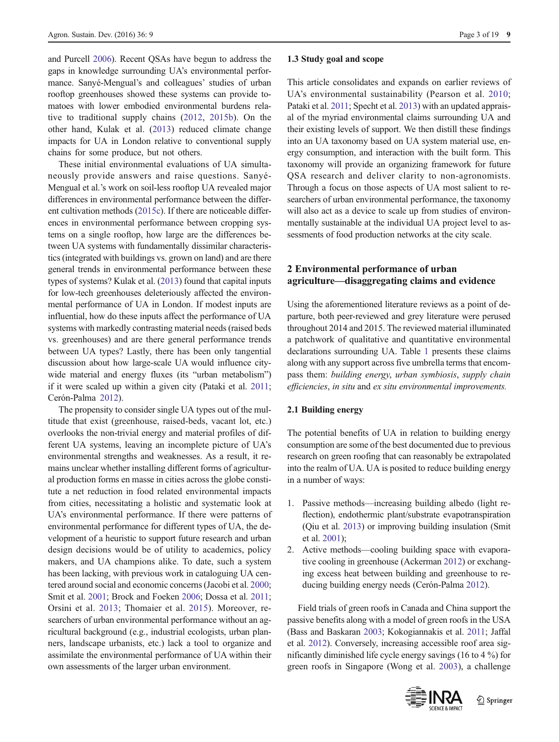<span id="page-2-0"></span>and Purcell [2006\)](#page-15-0). Recent QSAs have begun to address the gaps in knowledge surrounding UA's environmental performance. Sanyé-Mengual's and colleagues' studies of urban rooftop greenhouses showed these systems can provide tomatoes with lower embodied environmental burdens relative to traditional supply chains ([2012,](#page-18-0) [2015b\)](#page-18-0). On the other hand, Kulak et al. ([2013](#page-17-0)) reduced climate change impacts for UA in London relative to conventional supply chains for some produce, but not others.

These initial environmental evaluations of UA simultaneously provide answers and raise questions. Sanyé-Mengual et al.'s work on soil-less rooftop UA revealed major differences in environmental performance between the different cultivation methods [\(2015c\)](#page-18-0). If there are noticeable differences in environmental performance between cropping systems on a single rooftop, how large are the differences between UA systems with fundamentally dissimilar characteristics (integrated with buildings vs. grown on land) and are there general trends in environmental performance between these types of systems? Kulak et al. [\(2013\)](#page-17-0) found that capital inputs for low-tech greenhouses deleteriously affected the environmental performance of UA in London. If modest inputs are influential, how do these inputs affect the performance of UA systems with markedly contrasting material needs (raised beds vs. greenhouses) and are there general performance trends between UA types? Lastly, there has been only tangential discussion about how large-scale UA would influence citywide material and energy fluxes (its "urban metabolism") if it were scaled up within a given city (Pataki et al. [2011](#page-17-0); Cerón-Palma [2012](#page-15-0)).

The propensity to consider single UA types out of the multitude that exist (greenhouse, raised-beds, vacant lot, etc.) overlooks the non-trivial energy and material profiles of different UA systems, leaving an incomplete picture of UA's environmental strengths and weaknesses. As a result, it remains unclear whether installing different forms of agricultural production forms en masse in cities across the globe constitute a net reduction in food related environmental impacts from cities, necessitating a holistic and systematic look at UA's environmental performance. If there were patterns of environmental performance for different types of UA, the development of a heuristic to support future research and urban design decisions would be of utility to academics, policy makers, and UA champions alike. To date, such a system has been lacking, with previous work in cataloguing UA centered around social and economic concerns (Jacobi et al. [2000](#page-16-0); Smit et al. [2001](#page-18-0); Brock and Foeken [2006](#page-15-0); Dossa et al. [2011](#page-16-0); Orsini et al. [2013](#page-17-0); Thomaier et al. [2015\)](#page-18-0). Moreover, researchers of urban environmental performance without an agricultural background (e.g., industrial ecologists, urban planners, landscape urbanists, etc.) lack a tool to organize and assimilate the environmental performance of UA within their own assessments of the larger urban environment.

#### 1.3 Study goal and scope

This article consolidates and expands on earlier reviews of UA's environmental sustainability (Pearson et al. [2010;](#page-17-0) Pataki et al. [2011;](#page-17-0) Specht et al. [2013\)](#page-18-0) with an updated appraisal of the myriad environmental claims surrounding UA and their existing levels of support. We then distill these findings into an UA taxonomy based on UA system material use, energy consumption, and interaction with the built form. This taxonomy will provide an organizing framework for future QSA research and deliver clarity to non-agronomists. Through a focus on those aspects of UA most salient to researchers of urban environmental performance, the taxonomy will also act as a device to scale up from studies of environmentally sustainable at the individual UA project level to assessments of food production networks at the city scale.

# 2 Environmental performance of urban agriculture—disaggregating claims and evidence

Using the aforementioned literature reviews as a point of departure, both peer-reviewed and grey literature were perused throughout 2014 and 2015. The reviewed material illuminated a patchwork of qualitative and quantitative environmental declarations surrounding UA. Table [1](#page-3-0) presents these claims along with any support across five umbrella terms that encompass them: building energy, urban symbiosis, supply chain efficiencies, in situ and ex situ environmental improvements.

### 2.1 Building energy

The potential benefits of UA in relation to building energy consumption are some of the best documented due to previous research on green roofing that can reasonably be extrapolated into the realm of UA. UA is posited to reduce building energy in a number of ways:

- 1. Passive methods—increasing building albedo (light reflection), endothermic plant/substrate evapotranspiration (Qiu et al. [2013](#page-17-0)) or improving building insulation (Smit et al. [2001](#page-18-0));
- 2. Active methods—cooling building space with evaporative cooling in greenhouse (Ackerman [2012\)](#page-15-0) or exchanging excess heat between building and greenhouse to reducing building energy needs (Cerón-Palma [2012](#page-15-0)).

Field trials of green roofs in Canada and China support the passive benefits along with a model of green roofs in the USA (Bass and Baskaran [2003](#page-15-0); Kokogiannakis et al. [2011](#page-17-0); Jaffal et al. [2012](#page-16-0)). Conversely, increasing accessible roof area significantly diminished life cycle energy savings (16 to 4 %) for green roofs in Singapore (Wong et al. [2003](#page-18-0)), a challenge

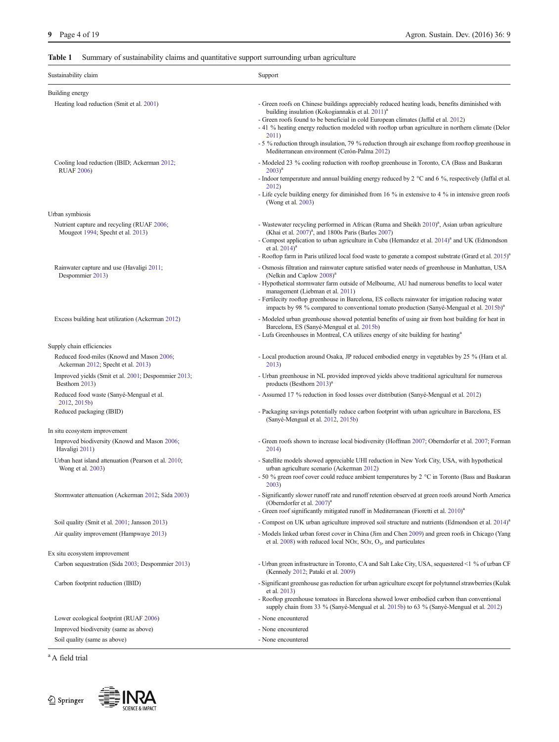# <span id="page-3-0"></span>Table 1 Summary of sustainability claims and quantitative support surrounding urban agriculture

| Sustainability claim                                                            | Support                                                                                                                                                                                                                                                                                                                                                                             |  |  |
|---------------------------------------------------------------------------------|-------------------------------------------------------------------------------------------------------------------------------------------------------------------------------------------------------------------------------------------------------------------------------------------------------------------------------------------------------------------------------------|--|--|
| Building energy                                                                 |                                                                                                                                                                                                                                                                                                                                                                                     |  |  |
| Heating load reduction (Smit et al. 2001)                                       | - Green roofs on Chinese buildings appreciably reduced heating loads, benefits diminished with<br>building insulation (Kokogiannakis et al. 2011) <sup>a</sup><br>- Green roofs found to be beneficial in cold European climates (Jaffal et al. 2012)<br>- 41 % heating energy reduction modeled with rooftop urban agriculture in northern climate (Delor<br>2011)                 |  |  |
|                                                                                 | - 5 % reduction through insulation, 79 % reduction through air exchange from rooftop greenhouse in<br>Mediterranean environment (Cerón-Palma 2012)                                                                                                                                                                                                                                  |  |  |
| Cooling load reduction (IBID; Ackerman 2012;<br><b>RUAF 2006)</b>               | - Modeled 23 % cooling reduction with rooftop greenhouse in Toronto, CA (Bass and Baskaran<br>$2003)^{a}$                                                                                                                                                                                                                                                                           |  |  |
|                                                                                 | - Indoor temperature and annual building energy reduced by $2^{\circ}$ C and 6 %, respectively (Jaffal et al.<br>2012)<br>- Life cycle building energy for diminished from 16 % in extensive to 4 % in intensive green roofs<br>(Wong et al. 2003)                                                                                                                                  |  |  |
| Urban symbiosis                                                                 |                                                                                                                                                                                                                                                                                                                                                                                     |  |  |
| Nutrient capture and recycling (RUAF 2006;<br>Mougeot 1994; Specht et al. 2013) | - Wastewater recycling performed in African (Ruma and Sheikh 2010) <sup>a</sup> , Asian urban agriculture<br>(Khai et al. 2007) <sup>a</sup> , and 1800s Paris (Barles 2007)<br>- Compost application to urban agriculture in Cuba (Hernandez et al. $2014$ ) <sup><math>a</math></sup> and UK (Edmondson<br>et al. $2014)^a$                                                       |  |  |
|                                                                                 | - Rooftop farm in Paris utilized local food waste to generate a compost substrate (Grard et al. 2015) <sup>a</sup>                                                                                                                                                                                                                                                                  |  |  |
| Rainwater capture and use (Havaligi 2011;<br>Despommier 2013)                   | - Osmosis filtration and rainwater capture satisfied water needs of greenhouse in Manhattan, USA<br>(Nelkin and Caplow 2008) <sup>a</sup><br>- Hypothetical stormwater farm outside of Melbourne, AU had numerous benefits to local water<br>management (Liebman et al. 2011)<br>- Fertilecity rooftop greenhouse in Barcelona, ES collects rainwater for irrigation reducing water |  |  |
|                                                                                 | impacts by 98 % compared to conventional tomato production (Sanyé-Mengual et al. 2015b) <sup>a</sup>                                                                                                                                                                                                                                                                                |  |  |
| Excess building heat utilization (Ackerman 2012)                                | - Modeled urban greenhouse showed potential benefits of using air from host building for heat in<br>Barcelona, ES (Sanyé-Mengual et al. 2015b)<br>- Lufa Greenhouses in Montreal, CA utilizes energy of site building for heating <sup>a</sup>                                                                                                                                      |  |  |
| Supply chain efficiencies                                                       |                                                                                                                                                                                                                                                                                                                                                                                     |  |  |
| Reduced food-miles (Knowd and Mason 2006;<br>Ackerman 2012; Specht et al. 2013) | - Local production around Osaka, JP reduced embodied energy in vegetables by 25 % (Hara et al.<br>2013)                                                                                                                                                                                                                                                                             |  |  |
| Improved yields (Smit et al. 2001; Despommier 2013;<br>Besthorn 2013)           | - Urban greenhouse in NL provided improved yields above traditional agricultural for numerous<br>products (Besthorn 2013) <sup>a</sup>                                                                                                                                                                                                                                              |  |  |
| Reduced food waste (Sanyé-Mengual et al.<br>2012, 2015b)                        | - Assumed 17 % reduction in food losses over distribution (Sanyé-Mengual et al. 2012)                                                                                                                                                                                                                                                                                               |  |  |
| Reduced packaging (IBID)                                                        | - Packaging savings potentially reduce carbon footprint with urban agriculture in Barcelona, ES<br>(Sanyé-Mengual et al. 2012, 2015b)                                                                                                                                                                                                                                               |  |  |
| In situ ecosystem improvement                                                   |                                                                                                                                                                                                                                                                                                                                                                                     |  |  |
| Improved biodiversity (Knowd and Mason 2006;<br>Havaligi 2011)                  | - Green roofs shown to increase local biodiversity (Hoffman 2007; Oberndorfer et al. 2007; Forman<br>2014)                                                                                                                                                                                                                                                                          |  |  |
| Urban heat island attenuation (Pearson et al. 2010;<br>Wong et al. 2003)        | - Satellite models showed appreciable UHI reduction in New York City, USA, with hypothetical<br>urban agriculture scenario (Ackerman 2012)<br>- 50 % green roof cover could reduce ambient temperatures by 2 °C in Toronto (Bass and Baskaran<br>2003)                                                                                                                              |  |  |
| Stormwater attenuation (Ackerman 2012; Sida 2003)                               | - Significantly slower runoff rate and runoff retention observed at green roofs around North America<br>(Oberndorfer et al. 2007) <sup>a</sup><br>- Green roof significantly mitigated runoff in Mediterranean (Fioretti et al. 2010) <sup>a</sup>                                                                                                                                  |  |  |
| Soil quality (Smit et al. 2001; Jansson 2013)                                   | - Compost on UK urban agriculture improved soil structure and nutrients (Edmondson et al. 2014) <sup>a</sup>                                                                                                                                                                                                                                                                        |  |  |
| Air quality improvement (Hampwaye 2013)                                         | - Models linked urban forest cover in China (Jim and Chen 2009) and green roofs in Chicago (Yang<br>et al. $2008$ ) with reduced local NOx, SOx, O <sub>3</sub> , and particulates                                                                                                                                                                                                  |  |  |
| Ex situ ecosystem improvement                                                   |                                                                                                                                                                                                                                                                                                                                                                                     |  |  |
| Carbon sequestration (Sida 2003; Despommier 2013)                               | - Urban green infrastructure in Toronto, CA and Salt Lake City, USA, sequestered <1 % of urban CF<br>(Kennedy 2012; Pataki et al. 2009)                                                                                                                                                                                                                                             |  |  |
| Carbon footprint reduction (IBID)                                               | - Significant greenhouse gas reduction for urban agriculture except for polytunnel strawberries (Kulak<br>et al. 2013)<br>- Rooftop greenhouse tomatoes in Barcelona showed lower embodied carbon than conventional<br>supply chain from 33 % (Sanyé-Mengual et al. 2015b) to 63 % (Sanyé-Mengual et al. 2012)                                                                      |  |  |
| Lower ecological footprint (RUAF 2006)                                          | - None encountered                                                                                                                                                                                                                                                                                                                                                                  |  |  |
| Improved biodiversity (same as above)                                           | - None encountered                                                                                                                                                                                                                                                                                                                                                                  |  |  |
| Soil quality (same as above)                                                    | - None encountered                                                                                                                                                                                                                                                                                                                                                                  |  |  |

<sup>a</sup> A field trial

 $\underline{\textcircled{\tiny 2}}$  Springer

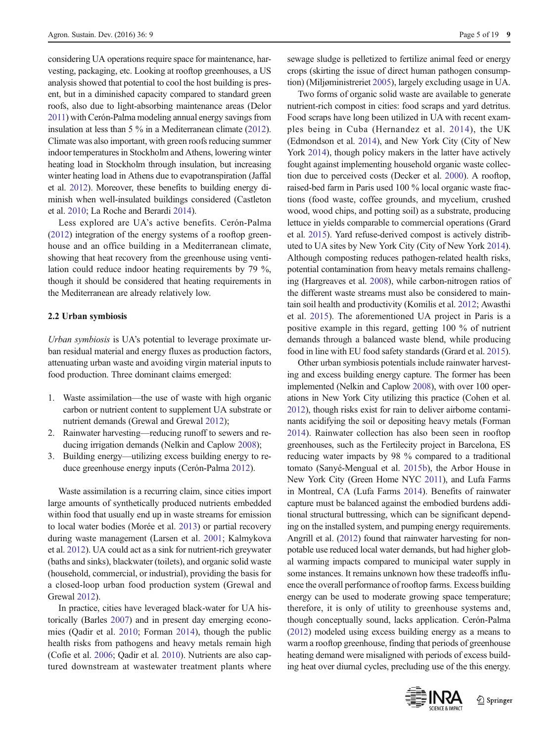<span id="page-4-0"></span>considering UA operations require space for maintenance, harvesting, packaging, etc. Looking at rooftop greenhouses, a US analysis showed that potential to cool the host building is present, but in a diminished capacity compared to standard green roofs, also due to light-absorbing maintenance areas (Delor [2011](#page-16-0)) with Cerón-Palma modeling annual energy savings from insulation at less than 5 % in a Mediterranean climate [\(2012\)](#page-15-0). Climate was also important, with green roofs reducing summer indoor temperatures in Stockholm and Athens, lowering winter heating load in Stockholm through insulation, but increasing winter heating load in Athens due to evapotranspiration (Jaffal et al. [2012](#page-16-0)). Moreover, these benefits to building energy diminish when well-insulated buildings considered (Castleton et al. [2010;](#page-15-0) La Roche and Berardi [2014](#page-17-0)).

Less explored are UA's active benefits. Cerón-Palma [\(2012\)](#page-15-0) integration of the energy systems of a rooftop greenhouse and an office building in a Mediterranean climate, showing that heat recovery from the greenhouse using ventilation could reduce indoor heating requirements by 79 %, though it should be considered that heating requirements in the Mediterranean are already relatively low.

#### 2.2 Urban symbiosis

Urban symbiosis is UA's potential to leverage proximate urban residual material and energy fluxes as production factors, attenuating urban waste and avoiding virgin material inputs to food production. Three dominant claims emerged:

- 1. Waste assimilation—the use of waste with high organic carbon or nutrient content to supplement UA substrate or nutrient demands (Grewal and Grewal [2012\)](#page-16-0);
- 2. Rainwater harvesting—reducing runoff to sewers and reducing irrigation demands (Nelkin and Caplow [2008](#page-17-0));
- 3. Building energy—utilizing excess building energy to reduce greenhouse energy inputs (Cerón-Palma [2012\)](#page-15-0).

Waste assimilation is a recurring claim, since cities import large amounts of synthetically produced nutrients embedded within food that usually end up in waste streams for emission to local water bodies (Morée et al. [2013](#page-17-0)) or partial recovery during waste management (Larsen et al. [2001;](#page-17-0) Kalmykova et al. [2012](#page-17-0)). UA could act as a sink for nutrient-rich greywater (baths and sinks), blackwater (toilets), and organic solid waste (household, commercial, or industrial), providing the basis for a closed-loop urban food production system (Grewal and Grewal [2012\)](#page-16-0).

In practice, cities have leveraged black-water for UA historically (Barles [2007\)](#page-15-0) and in present day emerging economies (Qadir et al. [2010;](#page-17-0) Forman [2014\)](#page-16-0), though the public health risks from pathogens and heavy metals remain high (Cofie et al. [2006](#page-16-0); Qadir et al. [2010](#page-17-0)). Nutrients are also captured downstream at wastewater treatment plants where sewage sludge is pelletized to fertilize animal feed or energy crops (skirting the issue of direct human pathogen consumption) (Miljøministreriet [2005\)](#page-17-0), largely excluding usage in UA.

Two forms of organic solid waste are available to generate nutrient-rich compost in cities: food scraps and yard detritus. Food scraps have long been utilized in UA with recent examples being in Cuba (Hernandez et al. [2014\)](#page-16-0), the UK (Edmondson et al. [2014](#page-16-0)), and New York City (City of New York [2014\)](#page-16-0), though policy makers in the latter have actively fought against implementing household organic waste collection due to perceived costs (Decker et al. [2000\)](#page-16-0). A rooftop, raised-bed farm in Paris used 100 % local organic waste fractions (food waste, coffee grounds, and mycelium, crushed wood, wood chips, and potting soil) as a substrate, producing lettuce in yields comparable to commercial operations (Grard et al. [2015](#page-16-0)). Yard refuse-derived compost is actively distributed to UA sites by New York City (City of New York [2014\)](#page-16-0). Although composting reduces pathogen-related health risks, potential contamination from heavy metals remains challenging (Hargreaves et al. [2008\)](#page-16-0), while carbon-nitrogen ratios of the different waste streams must also be considered to maintain soil health and productivity (Komilis et al. [2012;](#page-17-0) Awasthi et al. [2015](#page-15-0)). The aforementioned UA project in Paris is a positive example in this regard, getting 100 % of nutrient demands through a balanced waste blend, while producing food in line with EU food safety standards (Grard et al. [2015\)](#page-16-0).

Other urban symbiosis potentials include rainwater harvesting and excess building energy capture. The former has been implemented (Nelkin and Caplow [2008](#page-17-0)), with over 100 operations in New York City utilizing this practice (Cohen et al. [2012\)](#page-16-0), though risks exist for rain to deliver airborne contaminants acidifying the soil or depositing heavy metals (Forman [2014](#page-16-0)). Rainwater collection has also been seen in rooftop greenhouses, such as the Fertilecity project in Barcelona, ES reducing water impacts by 98 % compared to a traditional tomato (Sanyé-Mengual et al. [2015b](#page-18-0)), the Arbor House in New York City (Green Home NYC [2011\)](#page-16-0), and Lufa Farms in Montreal, CA (Lufa Farms [2014](#page-17-0)). Benefits of rainwater capture must be balanced against the embodied burdens additional structural buttressing, which can be significant depending on the installed system, and pumping energy requirements. Angrill et al. [\(2012](#page-15-0)) found that rainwater harvesting for nonpotable use reduced local water demands, but had higher global warming impacts compared to municipal water supply in some instances. It remains unknown how these tradeoffs influence the overall performance of rooftop farms. Excess building energy can be used to moderate growing space temperature; therefore, it is only of utility to greenhouse systems and, though conceptually sound, lacks application. Cerón-Palma [\(2012\)](#page-15-0) modeled using excess building energy as a means to warm a rooftop greenhouse, finding that periods of greenhouse heating demand were misaligned with periods of excess building heat over diurnal cycles, precluding use of the this energy.

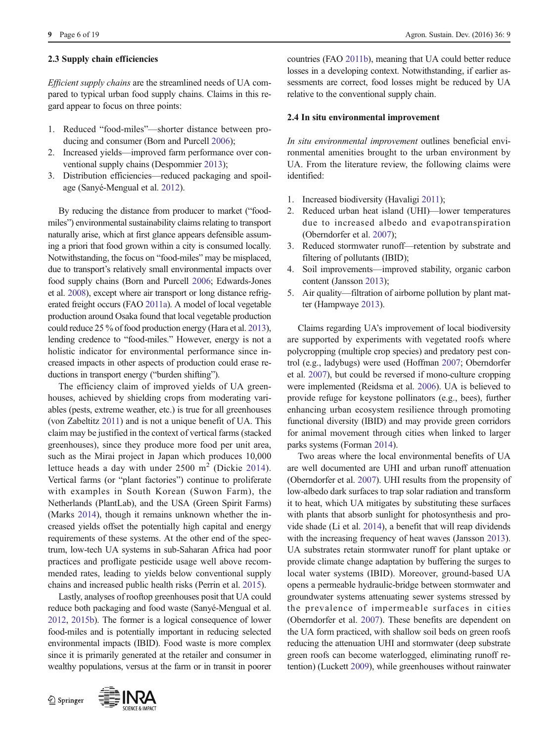#### <span id="page-5-0"></span>2.3 Supply chain efficiencies

Efficient supply chains are the streamlined needs of UA compared to typical urban food supply chains. Claims in this regard appear to focus on three points:

- 1. Reduced "food-miles"—shorter distance between producing and consumer (Born and Purcell [2006](#page-15-0));
- 2. Increased yields—improved farm performance over conventional supply chains (Despommier [2013](#page-16-0));
- 3. Distribution efficiencies—reduced packaging and spoilage (Sanyé-Mengual et al. [2012\)](#page-18-0).

By reducing the distance from producer to market ("foodmiles") environmental sustainability claims relating to transport naturally arise, which at first glance appears defensible assuming a priori that food grown within a city is consumed locally. Notwithstanding, the focus on "food-miles" may be misplaced, due to transport's relatively small environmental impacts over food supply chains (Born and Purcell [2006](#page-15-0); Edwards-Jones et al. [2008](#page-16-0)), except where air transport or long distance refrigerated freight occurs (FAO [2011a](#page-16-0)). A model of local vegetable production around Osaka found that local vegetable production could reduce 25 % of food production energy (Hara et al. [2013\)](#page-16-0), lending credence to "food-miles." However, energy is not a holistic indicator for environmental performance since increased impacts in other aspects of production could erase reductions in transport energy ("burden shifting").

The efficiency claim of improved yields of UA greenhouses, achieved by shielding crops from moderating variables (pests, extreme weather, etc.) is true for all greenhouses (von Zabeltitz [2011\)](#page-18-0) and is not a unique benefit of UA. This claim may be justified in the context of vertical farms (stacked greenhouses), since they produce more food per unit area, such as the Mirai project in Japan which produces 10,000 lettuce heads a day with under  $2500 \text{ m}^2$  (Dickie [2014](#page-16-0)). Vertical farms (or "plant factories") continue to proliferate with examples in South Korean (Suwon Farm), the Netherlands (PlantLab), and the USA (Green Spirit Farms) (Marks [2014\)](#page-17-0), though it remains unknown whether the increased yields offset the potentially high capital and energy requirements of these systems. At the other end of the spectrum, low-tech UA systems in sub-Saharan Africa had poor practices and profligate pesticide usage well above recommended rates, leading to yields below conventional supply chains and increased public health risks (Perrin et al. [2015](#page-17-0)).

Lastly, analyses of rooftop greenhouses posit that UA could reduce both packaging and food waste (Sanyé-Mengual et al. [2012](#page-18-0), [2015b](#page-18-0)). The former is a logical consequence of lower food-miles and is potentially important in reducing selected environmental impacts (IBID). Food waste is more complex since it is primarily generated at the retailer and consumer in wealthy populations, versus at the farm or in transit in poorer

 $\hat{\mathcal{D}}$  Springer



countries (FAO [2011b](#page-16-0)), meaning that UA could better reduce losses in a developing context. Notwithstanding, if earlier assessments are correct, food losses might be reduced by UA relative to the conventional supply chain.

## 2.4 In situ environmental improvement

In situ environmental improvement outlines beneficial environmental amenities brought to the urban environment by UA. From the literature review, the following claims were identified:

- 1. Increased biodiversity (Havaligi [2011\)](#page-16-0);
- 2. Reduced urban heat island (UHI)—lower temperatures due to increased albedo and evapotranspiration (Oberndorfer et al. [2007\)](#page-17-0);
- 3. Reduced stormwater runoff—retention by substrate and filtering of pollutants (IBID);
- 4. Soil improvements—improved stability, organic carbon content (Jansson [2013\)](#page-16-0);
- 5. Air quality—filtration of airborne pollution by plant matter (Hampwaye [2013\)](#page-16-0).

Claims regarding UA's improvement of local biodiversity are supported by experiments with vegetated roofs where polycropping (multiple crop species) and predatory pest control (e.g., ladybugs) were used (Hoffman [2007;](#page-16-0) Oberndorfer et al. [2007](#page-17-0)), but could be reversed if mono-culture cropping were implemented (Reidsma et al. [2006\)](#page-17-0). UA is believed to provide refuge for keystone pollinators (e.g., bees), further enhancing urban ecosystem resilience through promoting functional diversity (IBID) and may provide green corridors for animal movement through cities when linked to larger parks systems (Forman [2014\)](#page-16-0).

Two areas where the local environmental benefits of UA are well documented are UHI and urban runoff attenuation (Oberndorfer et al. [2007\)](#page-17-0). UHI results from the propensity of low-albedo dark surfaces to trap solar radiation and transform it to heat, which UA mitigates by substituting these surfaces with plants that absorb sunlight for photosynthesis and provide shade (Li et al. [2014\)](#page-17-0), a benefit that will reap dividends with the increasing frequency of heat waves (Jansson [2013\)](#page-16-0). UA substrates retain stormwater runoff for plant uptake or provide climate change adaptation by buffering the surges to local water systems (IBID). Moreover, ground-based UA opens a permeable hydraulic-bridge between stormwater and groundwater systems attenuating sewer systems stressed by the prevalence of impermeable surfaces in cities (Oberndorfer et al. [2007](#page-17-0)). These benefits are dependent on the UA form practiced, with shallow soil beds on green roofs reducing the attenuation UHI and stormwater (deep substrate green roofs can become waterlogged, eliminating runoff retention) (Luckett [2009](#page-17-0)), while greenhouses without rainwater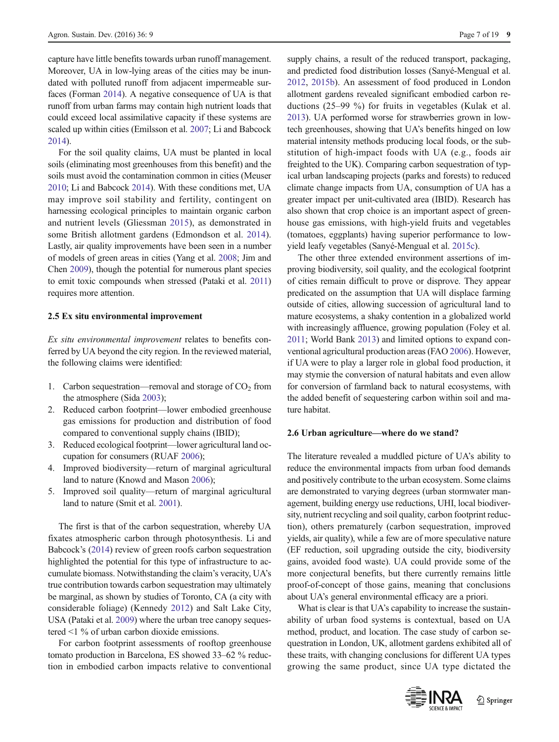<span id="page-6-0"></span>capture have little benefits towards urban runoff management. Moreover, UA in low-lying areas of the cities may be inundated with polluted runoff from adjacent impermeable surfaces (Forman [2014\)](#page-16-0). A negative consequence of UA is that runoff from urban farms may contain high nutrient loads that could exceed local assimilative capacity if these systems are scaled up within cities (Emilsson et al. [2007](#page-16-0); Li and Babcock [2014\)](#page-17-0).

For the soil quality claims, UA must be planted in local soils (eliminating most greenhouses from this benefit) and the soils must avoid the contamination common in cities (Meuser [2010;](#page-17-0) Li and Babcock [2014](#page-17-0)). With these conditions met, UA may improve soil stability and fertility, contingent on harnessing ecological principles to maintain organic carbon and nutrient levels (Gliessman [2015](#page-16-0)), as demonstrated in some British allotment gardens (Edmondson et al. [2014](#page-16-0)). Lastly, air quality improvements have been seen in a number of models of green areas in cities (Yang et al. [2008;](#page-18-0) Jim and Chen [2009](#page-17-0)), though the potential for numerous plant species to emit toxic compounds when stressed (Pataki et al. [2011\)](#page-17-0) requires more attention.

## 2.5 Ex situ environmental improvement

Ex situ environmental improvement relates to benefits conferred by UA beyond the city region. In the reviewed material, the following claims were identified:

- 1. Carbon sequestration—removal and storage of  $CO<sub>2</sub>$  from the atmosphere (Sida [2003](#page-18-0));
- 2. Reduced carbon footprint—lower embodied greenhouse gas emissions for production and distribution of food compared to conventional supply chains (IBID);
- 3. Reduced ecological footprint—lower agricultural land occupation for consumers (RUAF [2006\)](#page-17-0);
- 4. Improved biodiversity—return of marginal agricultural land to nature (Knowd and Mason [2006\)](#page-17-0);
- 5. Improved soil quality—return of marginal agricultural land to nature (Smit et al. [2001\)](#page-18-0).

The first is that of the carbon sequestration, whereby UA fixates atmospheric carbon through photosynthesis. Li and Babcock's [\(2014\)](#page-17-0) review of green roofs carbon sequestration highlighted the potential for this type of infrastructure to accumulate biomass. Notwithstanding the claim's veracity, UA's true contribution towards carbon sequestration may ultimately be marginal, as shown by studies of Toronto, CA (a city with considerable foliage) (Kennedy [2012](#page-17-0)) and Salt Lake City, USA (Pataki et al. [2009\)](#page-17-0) where the urban tree canopy sequestered <1 % of urban carbon dioxide emissions.

For carbon footprint assessments of rooftop greenhouse tomato production in Barcelona, ES showed 33–62 % reduction in embodied carbon impacts relative to conventional supply chains, a result of the reduced transport, packaging, and predicted food distribution losses (Sanyé-Mengual et al. [2012,](#page-18-0) [2015b\)](#page-18-0). An assessment of food produced in London allotment gardens revealed significant embodied carbon reductions (25–99 %) for fruits in vegetables (Kulak et al. [2013\)](#page-17-0). UA performed worse for strawberries grown in lowtech greenhouses, showing that UA's benefits hinged on low material intensity methods producing local foods, or the substitution of high-impact foods with UA (e.g., foods air freighted to the UK). Comparing carbon sequestration of typical urban landscaping projects (parks and forests) to reduced climate change impacts from UA, consumption of UA has a greater impact per unit-cultivated area (IBID). Research has also shown that crop choice is an important aspect of greenhouse gas emissions, with high-yield fruits and vegetables (tomatoes, eggplants) having superior performance to lowyield leafy vegetables (Sanyé-Mengual et al. [2015c\)](#page-18-0).

The other three extended environment assertions of improving biodiversity, soil quality, and the ecological footprint of cities remain difficult to prove or disprove. They appear predicated on the assumption that UA will displace farming outside of cities, allowing succession of agricultural land to mature ecosystems, a shaky contention in a globalized world with increasingly affluence, growing population (Foley et al. [2011](#page-16-0); World Bank [2013\)](#page-18-0) and limited options to expand conventional agricultural production areas (FAO [2006](#page-16-0)). However, if UA were to play a larger role in global food production, it may stymie the conversion of natural habitats and even allow for conversion of farmland back to natural ecosystems, with the added benefit of sequestering carbon within soil and mature habitat.

#### 2.6 Urban agriculture—where do we stand?

The literature revealed a muddled picture of UA's ability to reduce the environmental impacts from urban food demands and positively contribute to the urban ecosystem. Some claims are demonstrated to varying degrees (urban stormwater management, building energy use reductions, UHI, local biodiversity, nutrient recycling and soil quality, carbon footprint reduction), others prematurely (carbon sequestration, improved yields, air quality), while a few are of more speculative nature (EF reduction, soil upgrading outside the city, biodiversity gains, avoided food waste). UA could provide some of the more conjectural benefits, but there currently remains little proof-of-concept of those gains, meaning that conclusions about UA's general environmental efficacy are a priori.

What is clear is that UA's capability to increase the sustainability of urban food systems is contextual, based on UA method, product, and location. The case study of carbon sequestration in London, UK, allotment gardens exhibited all of these traits, with changing conclusions for different UA types growing the same product, since UA type dictated the

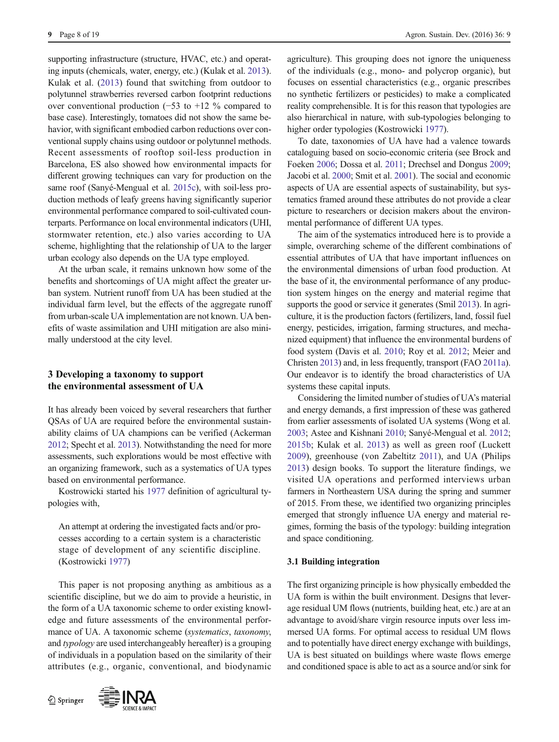<span id="page-7-0"></span>supporting infrastructure (structure, HVAC, etc.) and operating inputs (chemicals, water, energy, etc.) (Kulak et al. [2013\)](#page-17-0). Kulak et al. [\(2013](#page-17-0)) found that switching from outdoor to polytunnel strawberries reversed carbon footprint reductions over conventional production (−53 to +12 % compared to base case). Interestingly, tomatoes did not show the same behavior, with significant embodied carbon reductions over conventional supply chains using outdoor or polytunnel methods. Recent assessments of rooftop soil-less production in Barcelona, ES also showed how environmental impacts for different growing techniques can vary for production on the same roof (Sanyé-Mengual et al. [2015c\)](#page-18-0), with soil-less production methods of leafy greens having significantly superior environmental performance compared to soil-cultivated counterparts. Performance on local environmental indicators (UHI, stormwater retention, etc.) also varies according to UA scheme, highlighting that the relationship of UA to the larger urban ecology also depends on the UA type employed.

At the urban scale, it remains unknown how some of the benefits and shortcomings of UA might affect the greater urban system. Nutrient runoff from UA has been studied at the individual farm level, but the effects of the aggregate runoff from urban-scale UA implementation are not known. UA benefits of waste assimilation and UHI mitigation are also minimally understood at the city level.

# 3 Developing a taxonomy to support the environmental assessment of UA

It has already been voiced by several researchers that further QSAs of UA are required before the environmental sustainability claims of UA champions can be verified (Ackerman [2012;](#page-15-0) Specht et al. [2013](#page-18-0)). Notwithstanding the need for more assessments, such explorations would be most effective with an organizing framework, such as a systematics of UA types based on environmental performance.

Kostrowicki started his [1977](#page-17-0) definition of agricultural typologies with,

An attempt at ordering the investigated facts and/or processes according to a certain system is a characteristic stage of development of any scientific discipline. (Kostrowicki [1977](#page-17-0))

This paper is not proposing anything as ambitious as a scientific discipline, but we do aim to provide a heuristic, in the form of a UA taxonomic scheme to order existing knowledge and future assessments of the environmental performance of UA. A taxonomic scheme (systematics, taxonomy, and typology are used interchangeably hereafter) is a grouping of individuals in a population based on the similarity of their attributes (e.g., organic, conventional, and biodynamic

 $\hat{\mathcal{D}}$  Springer



agriculture). This grouping does not ignore the uniqueness of the individuals (e.g., mono- and polycrop organic), but focuses on essential characteristics (e.g., organic prescribes no synthetic fertilizers or pesticides) to make a complicated reality comprehensible. It is for this reason that typologies are also hierarchical in nature, with sub-typologies belonging to higher order typologies (Kostrowicki [1977\)](#page-17-0).

To date, taxonomies of UA have had a valence towards cataloguing based on socio-economic criteria (see Brock and Foeken [2006](#page-15-0); Dossa et al. [2011;](#page-16-0) Drechsel and Dongus [2009;](#page-16-0) Jacobi et al. [2000;](#page-16-0) Smit et al. [2001\)](#page-18-0). The social and economic aspects of UA are essential aspects of sustainability, but systematics framed around these attributes do not provide a clear picture to researchers or decision makers about the environmental performance of different UA types.

The aim of the systematics introduced here is to provide a simple, overarching scheme of the different combinations of essential attributes of UA that have important influences on the environmental dimensions of urban food production. At the base of it, the environmental performance of any production system hinges on the energy and material regime that supports the good or service it generates (Smil [2013\)](#page-18-0). In agriculture, it is the production factors (fertilizers, land, fossil fuel energy, pesticides, irrigation, farming structures, and mechanized equipment) that influence the environmental burdens of food system (Davis et al. [2010](#page-16-0); Roy et al. [2012;](#page-17-0) Meier and Christen [2013\)](#page-17-0) and, in less frequently, transport (FAO [2011a\)](#page-16-0). Our endeavor is to identify the broad characteristics of UA systems these capital inputs.

Considering the limited number of studies of UA's material and energy demands, a first impression of these was gathered from earlier assessments of isolated UA systems (Wong et al. [2003;](#page-18-0) Astee and Kishnani [2010](#page-15-0); Sanyé-Mengual et al. [2012;](#page-18-0) [2015b](#page-18-0); Kulak et al. [2013](#page-17-0)) as well as green roof (Luckett [2009](#page-17-0)), greenhouse (von Zabeltitz [2011\)](#page-18-0), and UA (Philips [2013\)](#page-17-0) design books. To support the literature findings, we visited UA operations and performed interviews urban farmers in Northeastern USA during the spring and summer of 2015. From these, we identified two organizing principles emerged that strongly influence UA energy and material regimes, forming the basis of the typology: building integration and space conditioning.

## 3.1 Building integration

The first organizing principle is how physically embedded the UA form is within the built environment. Designs that leverage residual UM flows (nutrients, building heat, etc.) are at an advantage to avoid/share virgin resource inputs over less immersed UA forms. For optimal access to residual UM flows and to potentially have direct energy exchange with buildings, UA is best situated on buildings where waste flows emerge and conditioned space is able to act as a source and/or sink for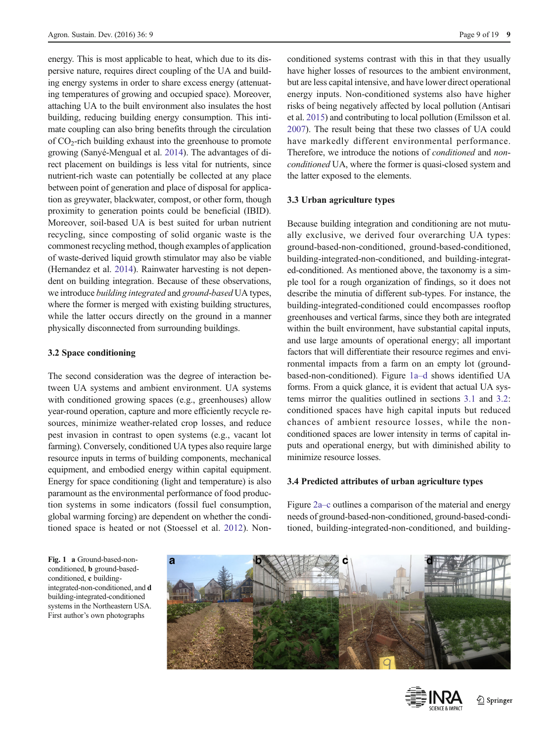<span id="page-8-0"></span>energy. This is most applicable to heat, which due to its dispersive nature, requires direct coupling of the UA and building energy systems in order to share excess energy (attenuating temperatures of growing and occupied space). Moreover, attaching UA to the built environment also insulates the host building, reducing building energy consumption. This intimate coupling can also bring benefits through the circulation of  $CO<sub>2</sub>$ -rich building exhaust into the greenhouse to promote growing (Sanyé-Mengual et al. [2014](#page-18-0)). The advantages of direct placement on buildings is less vital for nutrients, since nutrient-rich waste can potentially be collected at any place between point of generation and place of disposal for application as greywater, blackwater, compost, or other form, though proximity to generation points could be beneficial (IBID). Moreover, soil-based UA is best suited for urban nutrient recycling, since composting of solid organic waste is the commonest recycling method, though examples of application of waste-derived liquid growth stimulator may also be viable (Hernandez et al. [2014\)](#page-16-0). Rainwater harvesting is not dependent on building integration. Because of these observations, we introduce building integrated and ground-based UA types, where the former is merged with existing building structures, while the latter occurs directly on the ground in a manner physically disconnected from surrounding buildings.

## 3.2 Space conditioning

The second consideration was the degree of interaction between UA systems and ambient environment. UA systems with conditioned growing spaces (e.g., greenhouses) allow year-round operation, capture and more efficiently recycle resources, minimize weather-related crop losses, and reduce pest invasion in contrast to open systems (e.g., vacant lot farming). Conversely, conditioned UA types also require large resource inputs in terms of building components, mechanical equipment, and embodied energy within capital equipment. Energy for space conditioning (light and temperature) is also paramount as the environmental performance of food production systems in some indicators (fossil fuel consumption, global warming forcing) are dependent on whether the conditioned space is heated or not (Stoessel et al. [2012](#page-18-0)). Nonconditioned systems contrast with this in that they usually have higher losses of resources to the ambient environment, but are less capital intensive, and have lower direct operational energy inputs. Non-conditioned systems also have higher risks of being negatively affected by local pollution (Antisari et al. [2015](#page-15-0)) and contributing to local pollution (Emilsson et al. [2007\)](#page-16-0). The result being that these two classes of UA could have markedly different environmental performance. Therefore, we introduce the notions of *conditioned* and *non*conditioned UA, where the former is quasi-closed system and the latter exposed to the elements.

## 3.3 Urban agriculture types

Because building integration and conditioning are not mutually exclusive, we derived four overarching UA types: ground-based-non-conditioned, ground-based-conditioned, building-integrated-non-conditioned, and building-integrated-conditioned. As mentioned above, the taxonomy is a simple tool for a rough organization of findings, so it does not describe the minutia of different sub-types. For instance, the building-integrated-conditioned could encompasses rooftop greenhouses and vertical farms, since they both are integrated within the built environment, have substantial capital inputs, and use large amounts of operational energy; all important factors that will differentiate their resource regimes and environmental impacts from a farm on an empty lot (groundbased-non-conditioned). Figure 1a–d shows identified UA forms. From a quick glance, it is evident that actual UA systems mirror the qualities outlined in sections [3.1](#page-7-0) and 3.2: conditioned spaces have high capital inputs but reduced chances of ambient resource losses, while the nonconditioned spaces are lower intensity in terms of capital inputs and operational energy, but with diminished ability to minimize resource losses.

#### 3.4 Predicted attributes of urban agriculture types

Figure [2a](#page-9-0)–c outlines a comparison of the material and energy needs of ground-based-non-conditioned, ground-based-conditioned, building-integrated-non-conditioned, and building-

Fig. 1 a Ground-based-nonconditioned, b ground-basedconditioned, c buildingintegrated-non-conditioned, and d building-integrated-conditioned systems in the Northeastern USA. First author's own photographs



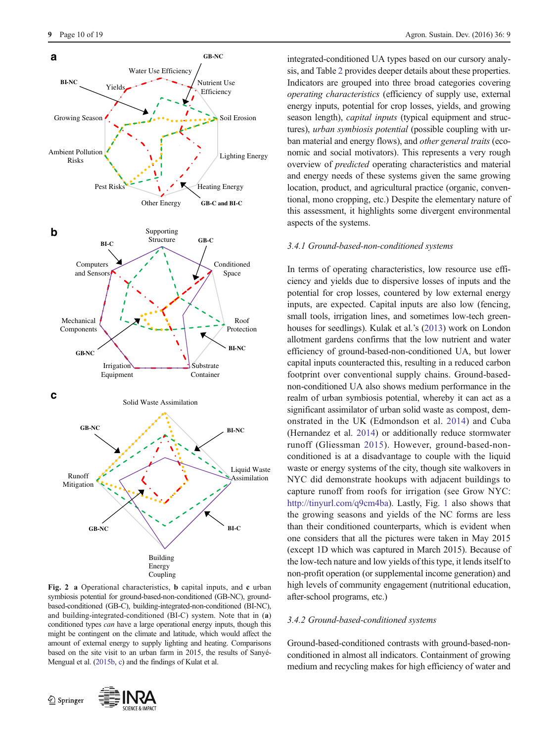<span id="page-9-0"></span>

Fig. 2 a Operational characteristics, b capital inputs, and c urban symbiosis potential for ground-based-non-conditioned (GB-NC), groundbased-conditioned (GB-C), building-integrated-non-conditioned (BI-NC), and building-integrated-conditioned (BI-C) system. Note that in (a) conditioned types can have a large operational energy inputs, though this might be contingent on the climate and latitude, which would affect the amount of external energy to supply lighting and heating. Comparisons based on the site visit to an urban farm in 2015, the results of Sanyé-Mengual et al. [\(2015b](#page-18-0), [c\)](#page-18-0) and the findings of Kulat et al.

**◯** Springer



integrated-conditioned UA types based on our cursory analysis, and Table [2](#page-10-0) provides deeper details about these properties. Indicators are grouped into three broad categories covering operating characteristics (efficiency of supply use, external energy inputs, potential for crop losses, yields, and growing season length), *capital inputs* (typical equipment and structures), urban symbiosis potential (possible coupling with urban material and energy flows), and other general traits (economic and social motivators). This represents a very rough overview of predicted operating characteristics and material and energy needs of these systems given the same growing location, product, and agricultural practice (organic, conventional, mono cropping, etc.) Despite the elementary nature of this assessment, it highlights some divergent environmental aspects of the systems.

#### 3.4.1 Ground-based-non-conditioned systems

In terms of operating characteristics, low resource use efficiency and yields due to dispersive losses of inputs and the potential for crop losses, countered by low external energy inputs, are expected. Capital inputs are also low (fencing, small tools, irrigation lines, and sometimes low-tech greenhouses for seedlings). Kulak et al.'s [\(2013\)](#page-17-0) work on London allotment gardens confirms that the low nutrient and water efficiency of ground-based-non-conditioned UA, but lower capital inputs counteracted this, resulting in a reduced carbon footprint over conventional supply chains. Ground-basednon-conditioned UA also shows medium performance in the realm of urban symbiosis potential, whereby it can act as a significant assimilator of urban solid waste as compost, demonstrated in the UK (Edmondson et al. [2014\)](#page-16-0) and Cuba (Hernandez et al. [2014](#page-16-0)) or additionally reduce stormwater runoff (Gliessman [2015](#page-16-0)). However, ground-based-nonconditioned is at a disadvantage to couple with the liquid waste or energy systems of the city, though site walkovers in NYC did demonstrate hookups with adjacent buildings to capture runoff from roofs for irrigation (see Grow NYC: [http://tinyurl.com/q9cm4ba\)](http://tinyurl.com/q9cm4ba). Lastly, Fig. [1](#page-8-0) also shows that the growing seasons and yields of the NC forms are less than their conditioned counterparts, which is evident when one considers that all the pictures were taken in May 2015 (except 1D which was captured in March 2015). Because of the low-tech nature and low yields of this type, it lends itself to non-profit operation (or supplemental income generation) and high levels of community engagement (nutritional education, after-school programs, etc.)

#### 3.4.2 Ground-based-conditioned systems

Ground-based-conditioned contrasts with ground-based-nonconditioned in almost all indicators. Containment of growing medium and recycling makes for high efficiency of water and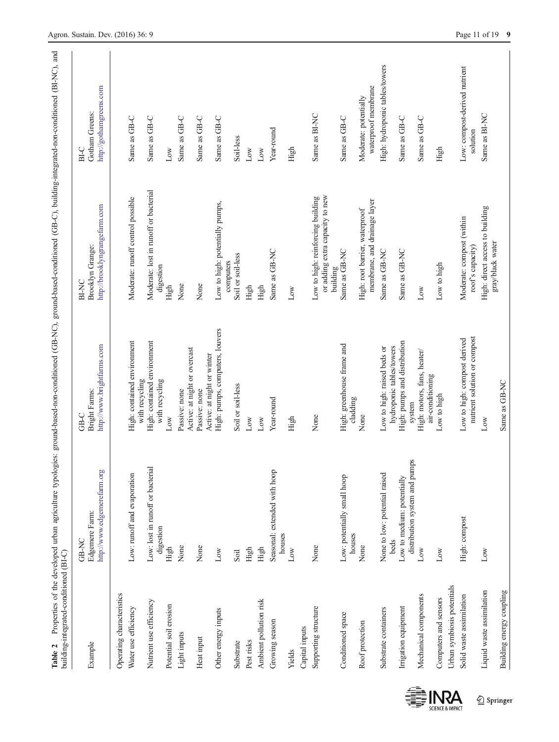<span id="page-10-0"></span>

| building-integrated-conditioned (BI-C)<br>Table 2   |                                                               | Properties of the developed urban agriculture typologies: ground-based-non-conditioned (GB-AC), ground-based-conditioned (GB-C), building-integrated-non-conditioned (BI-NC), and |                                                                      |                                                     |
|-----------------------------------------------------|---------------------------------------------------------------|-----------------------------------------------------------------------------------------------------------------------------------------------------------------------------------|----------------------------------------------------------------------|-----------------------------------------------------|
| Example                                             | http://www.edgemerefarm.org<br>Edgemere Farm:<br><b>GB-NC</b> | http://www.brightfarms.com<br>Bright Farms:<br>GB-C                                                                                                                               | http://brooklyngrangefarm.com<br>Brooklyn Grange:<br><b>BI-NC</b>    | http://gothamgreens.com<br>Gotham Greens:<br>$B1-C$ |
| Operating characteristics<br>Water use efficiency   | Low: runoff and evaporation                                   | High: contained environment                                                                                                                                                       | Moderate: runoff control possible                                    | Same as GB-C                                        |
| Nutrient use efficiency                             | Low: lost in runoff or bacterial                              | High: contained environment<br>with recycling                                                                                                                                     | Moderate: lost in runoff or bacterial                                | Same as GB-C                                        |
| Potential soil erosion                              | digestion<br>High                                             | with recycling<br>$_{\rm Low}$                                                                                                                                                    | digestion<br>High                                                    | Low                                                 |
| Light inputs                                        | None                                                          | Passive: none                                                                                                                                                                     | None                                                                 | Same as GB-C                                        |
| Heat input                                          | None                                                          | Active: at night or overcast<br>Active: at night or winter<br>Passive: none                                                                                                       | None                                                                 | Same as GB-C                                        |
| Other energy inputs                                 | $_{\rm Low}$                                                  | High: pumps, computers, louvers                                                                                                                                                   | Low to high: potentially pumps,<br>computers                         | Same as GB-C                                        |
| Substrate                                           | Soil                                                          | Soil or soil-less                                                                                                                                                                 | Soil or soil-less                                                    | Soil-less                                           |
| Pest risks                                          | High                                                          | Low                                                                                                                                                                               | High                                                                 | Low                                                 |
| Ambient pollution risk                              | High                                                          | Low                                                                                                                                                                               | High                                                                 | Low                                                 |
| Growing season                                      | Seasonal: extended with hoop<br>houses                        | Year-round                                                                                                                                                                        | Same as GB-NC                                                        | Year-round                                          |
| Yields                                              | Low                                                           | High                                                                                                                                                                              | Low                                                                  | High                                                |
| Capital inputs                                      |                                                               |                                                                                                                                                                                   |                                                                      |                                                     |
| Supporting structure                                | None                                                          | None                                                                                                                                                                              | or adding extra capacity to new<br>Low to high: reinforcing building | Same as BI-NC                                       |
| Conditioned space                                   | Low: potentially small hoop<br>houses                         | High: greenhouse frame and<br>cladding                                                                                                                                            | building<br>Same as GB-NC                                            | Same as GB-C                                        |
| Roof protection                                     | None                                                          | None                                                                                                                                                                              | membrane, and drainage layer<br>High: root barrier, waterproof       | waterproof membrane<br>Moderate: potentially        |
| Substrate containers                                | None to low: potential raised<br>beds                         | hydroponic tables/towers<br>Low to high: raised beds or                                                                                                                           | Same as GB-NC                                                        | High: hydroponic tables/towers                      |
| Irrigation equipment                                | distribution system and pumps<br>Low to medium: potentially   | High: pumps and distribution<br>system                                                                                                                                            | Same as GB-NC                                                        | Same as GB-C                                        |
| Mechanical components                               | $_{\text{Low}}$                                               | High: motors, fans, heater/<br>air-conditioning                                                                                                                                   | Low                                                                  | Same as GB-C                                        |
| Urban symbiosis potentials<br>Computers and sensors | $_{\text{Low}}$                                               | Low to high                                                                                                                                                                       | Low to high                                                          | High                                                |
| Solid waste assimilation                            | High: compost                                                 | nutrient solution or compost<br>Low to high: compost derived                                                                                                                      | Moderate: compost (within<br>roof's capacity)                        | Low: compost-derived nutrient<br>solution           |
| Liquid waste assimilation                           | $_{\rm Low}$                                                  | Low                                                                                                                                                                               | High: direct access to building<br>gray/black water                  | Same as BI-NC                                       |
| Building energy coupling                            |                                                               | Same as GB-NC                                                                                                                                                                     |                                                                      |                                                     |

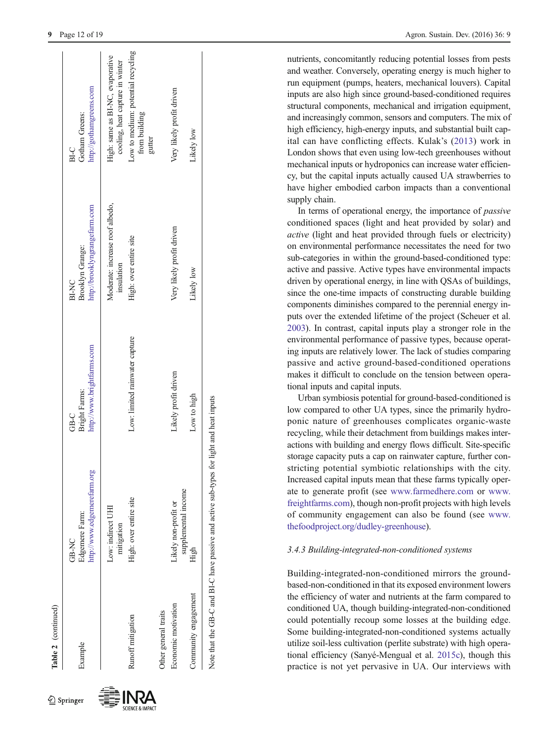| Low: limited rainwater capture<br>http://www.brightfarms.com<br>Likely profit driven<br>http://www.edgemerefarm.org<br>High: over entire site<br>Likely non-profit or<br>Low: indirect UHI<br>mitigation<br>Economic motivation<br>Other general traits<br>Runoff mitigation | Moderate: increase roof albedo,<br>http://brooklyngrangefarm.com | Gotham Greens:                                                      |
|------------------------------------------------------------------------------------------------------------------------------------------------------------------------------------------------------------------------------------------------------------------------------|------------------------------------------------------------------|---------------------------------------------------------------------|
|                                                                                                                                                                                                                                                                              |                                                                  | http://gothamgreens.com                                             |
|                                                                                                                                                                                                                                                                              | insulation                                                       | High: same as BI-NC, evaporative<br>cooling, heat capture in winter |
|                                                                                                                                                                                                                                                                              | High: over entire site                                           | Low to medium: potential recycling<br>from building<br>gutter       |
|                                                                                                                                                                                                                                                                              |                                                                  |                                                                     |
|                                                                                                                                                                                                                                                                              | Very likely profit driven                                        | Very likely profit driven                                           |
| Low to high<br>supplemental income<br>High<br>Community engagement                                                                                                                                                                                                           | Likely low                                                       | Likely low                                                          |

<span id="page-11-0"></span>9 Page 12 of 19  $\mu$  Page 12 of 19  $\mu$  Page 12 of 19  $\mu$  Page 12 of 19  $\mu$ 

nutrients, concomitantly reducing potential losses from pests and weather. Conversely, operating energy is much higher to run equipment (pumps, heaters, mechanical louvers). Capital inputs are also high since ground-based-conditioned requires structural components, mechanical and irrigation equipment, and increasingly common, sensors and computers. The mix of high efficiency, high-energy inputs, and substantial built capital can have conflicting effects. Kulak's ([2013](#page-17-0)) work in London shows that even using low-tech greenhouses without mechanical inputs or hydroponics can increase water efficiency, but the capital inputs actually caused UA strawberries to have higher embodied carbon impacts than a conventional supply chain.

In terms of operational energy, the importance of passive conditioned spaces (light and heat provided by solar) and active (light and heat provided through fuels or electricity) on environmental performance necessitates the need for two sub-categories in within the ground-based-conditioned type: active and passive. Active types have environmental impacts driven by operational energy, in line with QSAs of buildings, since the one-time impacts of constructing durable building components diminishes compared to the perennial energy inputs over the extended lifetime of the project (Scheuer et al. [2003\)](#page-18-0). In contrast, capital inputs play a stronger role in the environmental performance of passive types, because operating inputs are relatively lower. The lack of studies comparing passive and active ground-based-conditioned operations makes it difficult to conclude on the tension between operational inputs and capital inputs.

Urban symbiosis potential for ground-based-conditioned is low compared to other UA types, since the primarily hydroponic nature of greenhouses complicates organic-waste recycling, while their detachment from buildings makes interactions with building and energy flows difficult. Site-specific storage capacity puts a cap on rainwater capture, further constricting potential symbiotic relationships with the city. Increased capital inputs mean that these farms typically operate to generate profit (see [www.farmedhere.com](http://www.farmedhere.com/) or [www.](http://www.freightfarms.com/) [freightfarms.com\)](http://www.freightfarms.com/), though non-profit projects with high levels of community engagement can also be found (see [www.](http://www.thefoodproject.org/dudley-greenhouse) [thefoodproject.org/dudley-greenhouse\)](http://www.thefoodproject.org/dudley-greenhouse).

#### 3.4.3 Building-integrated-non-conditioned systems

Building-integrated-non-conditioned mirrors the groundbased-non-conditioned in that its exposed environment lowers the efficiency of water and nutrients at the farm compared to conditioned UA, though building-integrated-non-conditioned could potentially recoup some losses at the building edge. Some building-integrated-non-conditioned systems actually utilize soil-less cultivation (perlite substrate) with high operational efficiency (Sanyé-Mengual et al. [2015c](#page-18-0)), though this practice is not yet pervasive in UA. Our interviews with

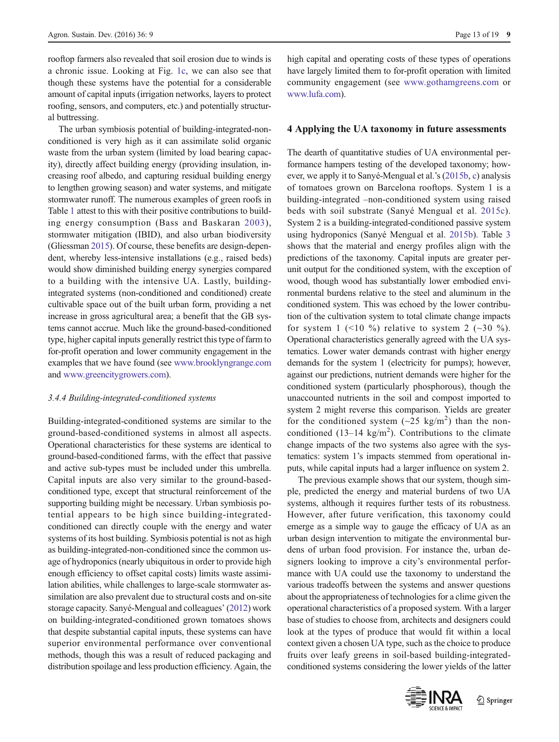<span id="page-12-0"></span>rooftop farmers also revealed that soil erosion due to winds is a chronic issue. Looking at Fig. [1c,](#page-8-0) we can also see that though these systems have the potential for a considerable amount of capital inputs (irrigation networks, layers to protect roofing, sensors, and computers, etc.) and potentially structural buttressing.

The urban symbiosis potential of building-integrated-nonconditioned is very high as it can assimilate solid organic waste from the urban system (limited by load bearing capacity), directly affect building energy (providing insulation, increasing roof albedo, and capturing residual building energy to lengthen growing season) and water systems, and mitigate stormwater runoff. The numerous examples of green roofs in Table [1](#page-3-0) attest to this with their positive contributions to building energy consumption (Bass and Baskaran [2003\)](#page-15-0), stormwater mitigation (IBID), and also urban biodiversity (Gliessman [2015\)](#page-16-0). Of course, these benefits are design-dependent, whereby less-intensive installations (e.g., raised beds) would show diminished building energy synergies compared to a building with the intensive UA. Lastly, buildingintegrated systems (non-conditioned and conditioned) create cultivable space out of the built urban form, providing a net increase in gross agricultural area; a benefit that the GB systems cannot accrue. Much like the ground-based-conditioned type, higher capital inputs generally restrict this type of farm to for-profit operation and lower community engagement in the examples that we have found (see [www.brooklyngrange.com](http://www.brooklyngrange.com/) and [www.greencitygrowers.com\)](http://www.greencitygrowers.com/).

#### 3.4.4 Building-integrated-conditioned systems

Building-integrated-conditioned systems are similar to the ground-based-conditioned systems in almost all aspects. Operational characteristics for these systems are identical to ground-based-conditioned farms, with the effect that passive and active sub-types must be included under this umbrella. Capital inputs are also very similar to the ground-basedconditioned type, except that structural reinforcement of the supporting building might be necessary. Urban symbiosis potential appears to be high since building-integratedconditioned can directly couple with the energy and water systems of its host building. Symbiosis potential is not as high as building-integrated-non-conditioned since the common usage of hydroponics (nearly ubiquitous in order to provide high enough efficiency to offset capital costs) limits waste assimilation abilities, while challenges to large-scale stormwater assimilation are also prevalent due to structural costs and on-site storage capacity. Sanyé-Mengual and colleagues' ([2012](#page-18-0)) work on building-integrated-conditioned grown tomatoes shows that despite substantial capital inputs, these systems can have superior environmental performance over conventional methods, though this was a result of reduced packaging and distribution spoilage and less production efficiency. Again, the high capital and operating costs of these types of operations have largely limited them to for-profit operation with limited community engagement (see [www.gothamgreens.com](http://www.gothamgreens.com/) or [www.lufa.com](http://www.lufa.com/)).

## 4 Applying the UA taxonomy in future assessments

The dearth of quantitative studies of UA environmental performance hampers testing of the developed taxonomy; however, we apply it to Sanyé-Mengual et al.'s ([2015b](#page-18-0), [c\)](#page-18-0) analysis of tomatoes grown on Barcelona rooftops. System 1 is a building-integrated –non-conditioned system using raised beds with soil substrate (Sanyé Mengual et al. [2015c](#page-18-0)). System 2 is a building-integrated-conditioned passive system using hydroponics (Sanyé Mengual et al. [2015b](#page-18-0)). Table [3](#page-13-0) shows that the material and energy profiles align with the predictions of the taxonomy. Capital inputs are greater perunit output for the conditioned system, with the exception of wood, though wood has substantially lower embodied environmental burdens relative to the steel and aluminum in the conditioned system. This was echoed by the lower contribution of the cultivation system to total climate change impacts for system 1 (<10 %) relative to system 2 ( $\sim$ 30 %). Operational characteristics generally agreed with the UA systematics. Lower water demands contrast with higher energy demands for the system 1 (electricity for pumps); however, against our predictions, nutrient demands were higher for the conditioned system (particularly phosphorous), though the unaccounted nutrients in the soil and compost imported to system 2 might reverse this comparison. Yields are greater for the conditioned system  $(\sim 25 \text{ kg/m}^2)$  than the nonconditioned  $(13-14 \text{ kg/m}^2)$ . Contributions to the climate change impacts of the two systems also agree with the systematics: system 1's impacts stemmed from operational inputs, while capital inputs had a larger influence on system 2.

The previous example shows that our system, though simple, predicted the energy and material burdens of two UA systems, although it requires further tests of its robustness. However, after future verification, this taxonomy could emerge as a simple way to gauge the efficacy of UA as an urban design intervention to mitigate the environmental burdens of urban food provision. For instance the, urban designers looking to improve a city's environmental performance with UA could use the taxonomy to understand the various tradeoffs between the systems and answer questions about the appropriateness of technologies for a clime given the operational characteristics of a proposed system. With a larger base of studies to choose from, architects and designers could look at the types of produce that would fit within a local context given a chosen UA type, such as the choice to produce fruits over leafy greens in soil-based building-integratedconditioned systems considering the lower yields of the latter

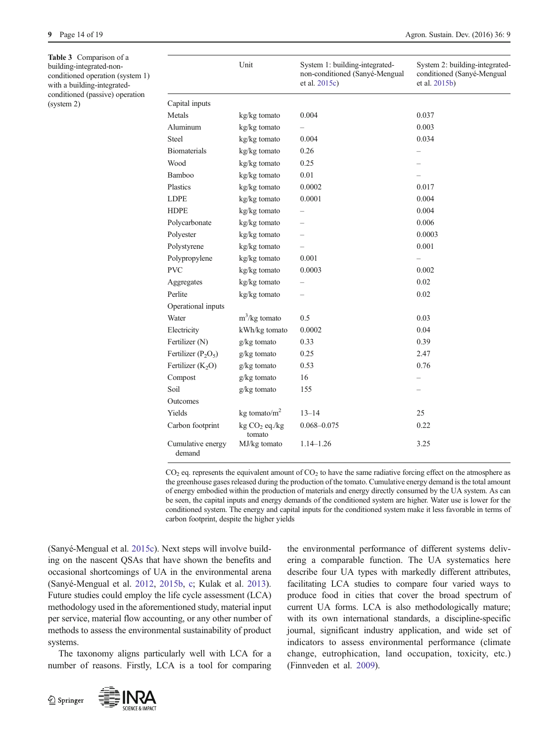<span id="page-13-0"></span>Table 3 Comparison of a building-integrated-nonconditioned operation (system 1) with a building-integratedconditioned (passive) operation (system 2)

|                             | Unit                      | System 1: building-integrated-<br>non-conditioned (Sanyé-Mengual<br>et al. 2015c) | System 2: building-integrated-<br>conditioned (Sanyé-Mengual<br>et al. 2015b) |
|-----------------------------|---------------------------|-----------------------------------------------------------------------------------|-------------------------------------------------------------------------------|
| Capital inputs              |                           |                                                                                   |                                                                               |
| Metals                      | kg/kg tomato              | 0.004                                                                             | 0.037                                                                         |
| Aluminum                    | kg/kg tomato              |                                                                                   | 0.003                                                                         |
| <b>Steel</b>                | kg/kg tomato              | 0.004                                                                             | 0.034                                                                         |
| <b>Biomaterials</b>         | kg/kg tomato              | 0.26                                                                              |                                                                               |
| Wood                        | kg/kg tomato              | 0.25                                                                              |                                                                               |
| Bamboo                      | kg/kg tomato              | 0.01                                                                              |                                                                               |
| Plastics                    | kg/kg tomato              | 0.0002                                                                            | 0.017                                                                         |
| LDPE                        | kg/kg tomato              | 0.0001                                                                            | 0.004                                                                         |
| <b>HDPE</b>                 | kg/kg tomato              |                                                                                   | 0.004                                                                         |
| Polycarbonate               | kg/kg tomato              |                                                                                   | 0.006                                                                         |
| Polyester                   | kg/kg tomato              |                                                                                   | 0.0003                                                                        |
| Polystyrene                 | kg/kg tomato              |                                                                                   | 0.001                                                                         |
| Polypropylene               | kg/kg tomato              | 0.001                                                                             |                                                                               |
| <b>PVC</b>                  | kg/kg tomato              | 0.0003                                                                            | 0.002                                                                         |
| Aggregates                  | kg/kg tomato              |                                                                                   | 0.02                                                                          |
| Perlite                     | kg/kg tomato              |                                                                                   | 0.02                                                                          |
| Operational inputs          |                           |                                                                                   |                                                                               |
| Water                       | $m^3/kg$ tomato           | 0.5                                                                               | 0.03                                                                          |
| Electricity                 | kWh/kg tomato             | 0.0002                                                                            | 0.04                                                                          |
| Fertilizer (N)              | $g/kg$ tomato             | 0.33                                                                              | 0.39                                                                          |
| Fertilizer $(P_2O_5)$       | g/kg tomato               | 0.25                                                                              | 2.47                                                                          |
| Fertilizer $(K_2O)$         | g/kg tomato               | 0.53                                                                              | 0.76                                                                          |
| Compost                     | g/kg tomato               | 16                                                                                |                                                                               |
| Soil                        | $g/kg$ tomato             | 155                                                                               |                                                                               |
| Outcomes                    |                           |                                                                                   |                                                                               |
| Yields                      | kg tomato/ $m2$           | $13 - 14$                                                                         | 25                                                                            |
| Carbon footprint            | $kg CO2$ eq./kg<br>tomato | $0.068 - 0.075$                                                                   | 0.22                                                                          |
| Cumulative energy<br>demand | MJ/kg tomato              | $1.14 - 1.26$                                                                     | 3.25                                                                          |

 $CO<sub>2</sub>$  eq. represents the equivalent amount of  $CO<sub>2</sub>$  to have the same radiative forcing effect on the atmosphere as the greenhouse gases released during the production of the tomato. Cumulative energy demand is the total amount of energy embodied within the production of materials and energy directly consumed by the UA system. As can be seen, the capital inputs and energy demands of the conditioned system are higher. Water use is lower for the conditioned system. The energy and capital inputs for the conditioned system make it less favorable in terms of carbon footprint, despite the higher yields

(Sanyé-Mengual et al. [2015c](#page-18-0)). Next steps will involve building on the nascent QSAs that have shown the benefits and occasional shortcomings of UA in the environmental arena (Sanyé-Mengual et al. [2012,](#page-18-0) [2015b,](#page-18-0) [c](#page-18-0); Kulak et al. [2013](#page-17-0)). Future studies could employ the life cycle assessment (LCA) methodology used in the aforementioned study, material input per service, material flow accounting, or any other number of methods to assess the environmental sustainability of product systems.

The taxonomy aligns particularly well with LCA for a number of reasons. Firstly, LCA is a tool for comparing

2 Springer



the environmental performance of different systems delivering a comparable function. The UA systematics here describe four UA types with markedly different attributes, facilitating LCA studies to compare four varied ways to produce food in cities that cover the broad spectrum of current UA forms. LCA is also methodologically mature; with its own international standards, a discipline-specific journal, significant industry application, and wide set of indicators to assess environmental performance (climate change, eutrophication, land occupation, toxicity, etc.) (Finnveden et al. [2009](#page-16-0)).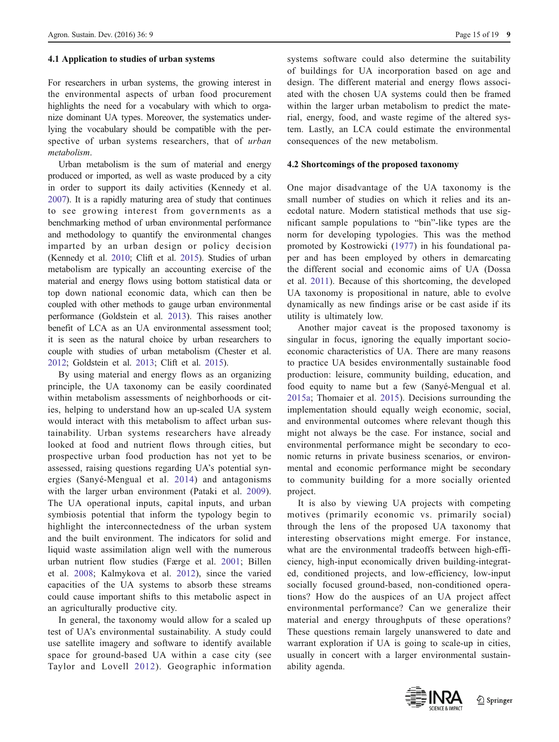#### <span id="page-14-0"></span>4.1 Application to studies of urban systems

For researchers in urban systems, the growing interest in the environmental aspects of urban food procurement highlights the need for a vocabulary with which to organize dominant UA types. Moreover, the systematics underlying the vocabulary should be compatible with the perspective of urban systems researchers, that of urban metabolism.

Urban metabolism is the sum of material and energy produced or imported, as well as waste produced by a city in order to support its daily activities (Kennedy et al. [2007\)](#page-17-0). It is a rapidly maturing area of study that continues to see growing interest from governments as a benchmarking method of urban environmental performance and methodology to quantify the environmental changes imparted by an urban design or policy decision (Kennedy et al. [2010](#page-17-0); Clift et al. [2015\)](#page-16-0). Studies of urban metabolism are typically an accounting exercise of the material and energy flows using bottom statistical data or top down national economic data, which can then be coupled with other methods to gauge urban environmental performance (Goldstein et al. [2013\)](#page-16-0). This raises another benefit of LCA as an UA environmental assessment tool; it is seen as the natural choice by urban researchers to couple with studies of urban metabolism (Chester et al. [2012;](#page-15-0) Goldstein et al. [2013](#page-16-0); Clift et al. [2015](#page-16-0)).

By using material and energy flows as an organizing principle, the UA taxonomy can be easily coordinated within metabolism assessments of neighborhoods or cities, helping to understand how an up-scaled UA system would interact with this metabolism to affect urban sustainability. Urban systems researchers have already looked at food and nutrient flows through cities, but prospective urban food production has not yet to be assessed, raising questions regarding UA's potential synergies (Sanyé-Mengual et al. [2014](#page-18-0)) and antagonisms with the larger urban environment (Pataki et al. [2009](#page-17-0)). The UA operational inputs, capital inputs, and urban symbiosis potential that inform the typology begin to highlight the interconnectedness of the urban system and the built environment. The indicators for solid and liquid waste assimilation align well with the numerous urban nutrient flow studies (Færge et al. [2001](#page-16-0); Billen et al. [2008](#page-15-0); Kalmykova et al. [2012\)](#page-17-0), since the varied capacities of the UA systems to absorb these streams could cause important shifts to this metabolic aspect in an agriculturally productive city.

In general, the taxonomy would allow for a scaled up test of UA's environmental sustainability. A study could use satellite imagery and software to identify available space for ground-based UA within a case city (see Taylor and Lovell [2012\)](#page-18-0). Geographic information systems software could also determine the suitability of buildings for UA incorporation based on age and design. The different material and energy flows associated with the chosen UA systems could then be framed within the larger urban metabolism to predict the material, energy, food, and waste regime of the altered system. Lastly, an LCA could estimate the environmental consequences of the new metabolism.

## 4.2 Shortcomings of the proposed taxonomy

One major disadvantage of the UA taxonomy is the small number of studies on which it relies and its anecdotal nature. Modern statistical methods that use significant sample populations to "bin"-like types are the norm for developing typologies. This was the method promoted by Kostrowicki ([1977\)](#page-17-0) in his foundational paper and has been employed by others in demarcating the different social and economic aims of UA (Dossa et al. [2011](#page-16-0)). Because of this shortcoming, the developed UA taxonomy is propositional in nature, able to evolve dynamically as new findings arise or be cast aside if its utility is ultimately low.

Another major caveat is the proposed taxonomy is singular in focus, ignoring the equally important socioeconomic characteristics of UA. There are many reasons to practice UA besides environmentally sustainable food production: leisure, community building, education, and food equity to name but a few (Sanyé-Mengual et al. [2015a;](#page-18-0) Thomaier et al. [2015\)](#page-18-0). Decisions surrounding the implementation should equally weigh economic, social, and environmental outcomes where relevant though this might not always be the case. For instance, social and environmental performance might be secondary to economic returns in private business scenarios, or environmental and economic performance might be secondary to community building for a more socially oriented project.

It is also by viewing UA projects with competing motives (primarily economic vs. primarily social) through the lens of the proposed UA taxonomy that interesting observations might emerge. For instance, what are the environmental tradeoffs between high-efficiency, high-input economically driven building-integrated, conditioned projects, and low-efficiency, low-input socially focused ground-based, non-conditioned operations? How do the auspices of an UA project affect environmental performance? Can we generalize their material and energy throughputs of these operations? These questions remain largely unanswered to date and warrant exploration if UA is going to scale-up in cities, usually in concert with a larger environmental sustainability agenda.

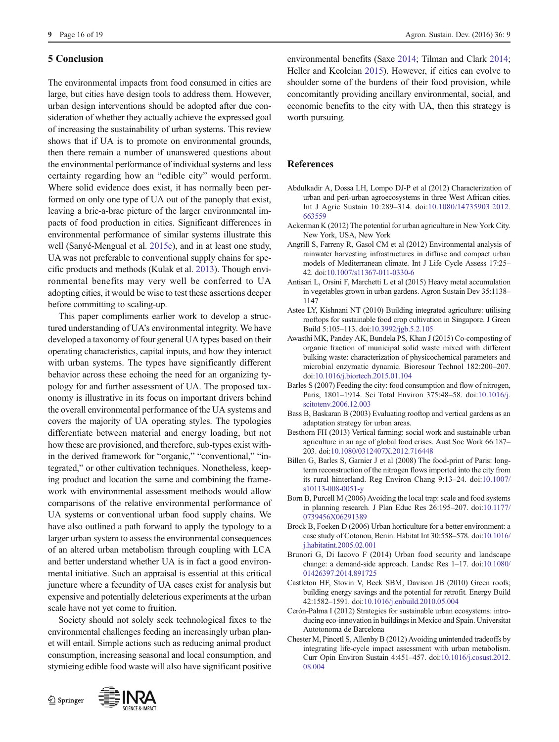## <span id="page-15-0"></span>5 Conclusion

The environmental impacts from food consumed in cities are large, but cities have design tools to address them. However, urban design interventions should be adopted after due consideration of whether they actually achieve the expressed goal of increasing the sustainability of urban systems. This review shows that if UA is to promote on environmental grounds, then there remain a number of unanswered questions about the environmental performance of individual systems and less certainty regarding how an "edible city" would perform. Where solid evidence does exist, it has normally been performed on only one type of UA out of the panoply that exist, leaving a bric-a-brac picture of the larger environmental impacts of food production in cities. Significant differences in environmental performance of similar systems illustrate this well (Sanyé-Mengual et al. [2015c\)](#page-18-0), and in at least one study, UA was not preferable to conventional supply chains for specific products and methods (Kulak et al. [2013](#page-17-0)). Though environmental benefits may very well be conferred to UA adopting cities, it would be wise to test these assertions deeper before committing to scaling-up.

This paper compliments earlier work to develop a structured understanding of UA's environmental integrity. We have developed a taxonomy of four general UA types based on their operating characteristics, capital inputs, and how they interact with urban systems. The types have significantly different behavior across these echoing the need for an organizing typology for and further assessment of UA. The proposed taxonomy is illustrative in its focus on important drivers behind the overall environmental performance of the UA systems and covers the majority of UA operating styles. The typologies differentiate between material and energy loading, but not how these are provisioned, and therefore, sub-types exist within the derived framework for "organic," "conventional," "integrated," or other cultivation techniques. Nonetheless, keeping product and location the same and combining the framework with environmental assessment methods would allow comparisons of the relative environmental performance of UA systems or conventional urban food supply chains. We have also outlined a path forward to apply the typology to a larger urban system to assess the environmental consequences of an altered urban metabolism through coupling with LCA and better understand whether UA is in fact a good environmental initiative. Such an appraisal is essential at this critical juncture where a fecundity of UA cases exist for analysis but expensive and potentially deleterious experiments at the urban scale have not yet come to fruition.

Society should not solely seek technological fixes to the environmental challenges feeding an increasingly urban planet will entail. Simple actions such as reducing animal product consumption, increasing seasonal and local consumption, and stymieing edible food waste will also have significant positive

 $\hat{\mathcal{D}}$  Springer



environmental benefits (Saxe [2014](#page-18-0); Tilman and Clark [2014;](#page-18-0) Heller and Keoleian [2015\)](#page-16-0). However, if cities can evolve to shoulder some of the burdens of their food provision, while concomitantly providing ancillary environmental, social, and economic benefits to the city with UA, then this strategy is worth pursuing.

## References

- Abdulkadir A, Dossa LH, Lompo DJ-P et al (2012) Characterization of urban and peri-urban agroecosystems in three West African cities. Int J Agric Sustain 10:289–314. doi[:10.1080/14735903.2012.](http://dx.doi.org/10.1080/14735903.2012.663559) [663559](http://dx.doi.org/10.1080/14735903.2012.663559)
- Ackerman K (2012) The potential for urban agriculture in New York City. New York, USA, New York
- Angrill S, Farreny R, Gasol CM et al (2012) Environmental analysis of rainwater harvesting infrastructures in diffuse and compact urban models of Mediterranean climate. Int J Life Cycle Assess 17:25– 42. doi[:10.1007/s11367-011-0330-6](http://dx.doi.org/10.1007/s11367-011-0330-6)
- Antisari L, Orsini F, Marchetti L et al (2015) Heavy metal accumulation in vegetables grown in urban gardens. Agron Sustain Dev 35:1138– 1147
- Astee LY, Kishnani NT (2010) Building integrated agriculture: utilising rooftops for sustainable food crop cultivation in Singapore. J Green Build 5:105–113. doi:[10.3992/jgb.5.2.105](http://dx.doi.org/10.3992/jgb.5.2.105)
- Awasthi MK, Pandey AK, Bundela PS, Khan J (2015) Co-composting of organic fraction of municipal solid waste mixed with different bulking waste: characterization of physicochemical parameters and microbial enzymatic dynamic. Bioresour Technol 182:200–207. doi:[10.1016/j.biortech.2015.01.104](http://dx.doi.org/10.1016/j.biortech.2015.01.104)
- Barles S (2007) Feeding the city: food consumption and flow of nitrogen, Paris, 1801–1914. Sci Total Environ 375:48–58. doi:[10.1016/j.](http://dx.doi.org/10.1016/j.scitotenv.2006.12.003) [scitotenv.2006.12.003](http://dx.doi.org/10.1016/j.scitotenv.2006.12.003)
- Bass B, Baskaran B (2003) Evaluating rooftop and vertical gardens as an adaptation strategy for urban areas.
- Besthorn FH (2013) Vertical farming: social work and sustainable urban agriculture in an age of global food crises. Aust Soc Work 66:187– 203. doi[:10.1080/0312407X.2012.716448](http://dx.doi.org/10.1080/0312407X.2012.716448)
- Billen G, Barles S, Garnier J et al (2008) The food-print of Paris: longterm reconstruction of the nitrogen flows imported into the city from its rural hinterland. Reg Environ Chang 9:13–24. doi:[10.1007/](http://dx.doi.org/10.1007/s10113-008-0051-y) [s10113-008-0051-y](http://dx.doi.org/10.1007/s10113-008-0051-y)
- Born B, Purcell M (2006) Avoiding the local trap: scale and food systems in planning research. J Plan Educ Res 26:195–207. doi[:10.1177/](http://dx.doi.org/10.1177/0739456X06291389) [0739456X06291389](http://dx.doi.org/10.1177/0739456X06291389)
- Brock B, Foeken D (2006) Urban horticulture for a better environment: a case study of Cotonou, Benin. Habitat Int 30:558–578. doi[:10.1016/](http://dx.doi.org/10.1016/j.habitatint.2005.02.001) [j.habitatint.2005.02.001](http://dx.doi.org/10.1016/j.habitatint.2005.02.001)
- Brunori G, Di Iacovo F (2014) Urban food security and landscape change: a demand-side approach. Landsc Res 1–17. doi[:10.1080/](http://dx.doi.org/10.1080/01426397.2014.891725) [01426397.2014.891725](http://dx.doi.org/10.1080/01426397.2014.891725)
- Castleton HF, Stovin V, Beck SBM, Davison JB (2010) Green roofs; building energy savings and the potential for retrofit. Energy Build 42:1582–1591. doi:[10.1016/j.enbuild.2010.05.004](http://dx.doi.org/10.1016/j.enbuild.2010.05.004)
- Cerón-Palma I (2012) Strategies for sustainable urban ecosystems: introducing eco-innovation in buildings in Mexico and Spain. Universitat Autotonoma de Barcelona
- Chester M, Pincetl S, Allenby B (2012) Avoiding unintended tradeoffs by integrating life-cycle impact assessment with urban metabolism. Curr Opin Environ Sustain 4:451–457. doi[:10.1016/j.cosust.2012.](http://dx.doi.org/10.1016/j.cosust.2012.08.004) [08.004](http://dx.doi.org/10.1016/j.cosust.2012.08.004)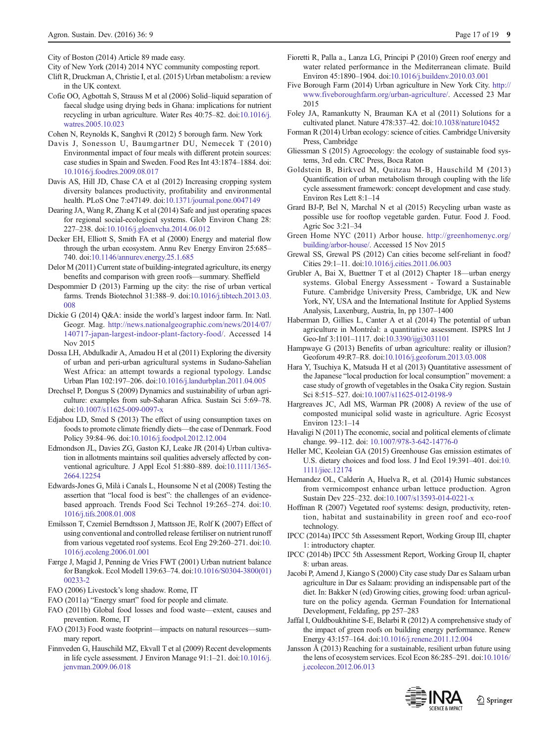<span id="page-16-0"></span>City of Boston (2014) Article 89 made easy.

City of New York (2014) 2014 NYC community composting report.

- Clift R, Druckman A, Christie I, et al. (2015) Urban metabolism: a review in the UK context.
- Cofie OO, Agbottah S, Strauss M et al (2006) Solid–liquid separation of faecal sludge using drying beds in Ghana: implications for nutrient recycling in urban agriculture. Water Res 40:75–82. doi:[10.1016/j.](http://dx.doi.org/10.1016/j.watres.2005.10.023) [watres.2005.10.023](http://dx.doi.org/10.1016/j.watres.2005.10.023)

Cohen N, Reynolds K, Sanghvi R (2012) 5 borough farm. New York

- Davis J, Sonesson U, Baumgartner DU, Nemecek T (2010) Environmental impact of four meals with different protein sources: case studies in Spain and Sweden. Food Res Int 43:1874–1884. doi: [10.1016/j.foodres.2009.08.017](http://dx.doi.org/10.1016/j.foodres.2009.08.017)
- Davis AS, Hill JD, Chase CA et al (2012) Increasing cropping system diversity balances productivity, profitability and environmental health. PLoS One 7:e47149. doi[:10.1371/journal.pone.0047149](http://dx.doi.org/10.1371/journal.pone.0047149)
- Dearing JA, Wang R, Zhang K et al (2014) Safe and just operating spaces for regional social-ecological systems. Glob Environ Chang 28: 227–238. doi[:10.1016/j.gloenvcha.2014.06.012](http://dx.doi.org/10.1016/j.gloenvcha.2014.06.012)
- Decker EH, Elliott S, Smith FA et al (2000) Energy and material flow through the urban ecosystem. Annu Rev Energy Environ 25:685– 740. doi[:10.1146/annurev.energy.25.1.685](http://dx.doi.org/10.1146/annurev.energy.25.1.685)
- Delor M (2011) Current state of building-integrated agriculture, its energy benefits and comparison with green roofs—summary. Sheffield
- Despommier D (2013) Farming up the city: the rise of urban vertical farms. Trends Biotechnol 31:388–9. doi[:10.1016/j.tibtech.2013.03.](http://dx.doi.org/10.1016/j.tibtech.2013.03.008) [008](http://dx.doi.org/10.1016/j.tibtech.2013.03.008)
- Dickie G (2014) Q&A: inside the world's largest indoor farm. In: Natl. Geogr. Mag. [http://news.nationalgeographic.com/news/2014/07/](http://news.nationalgeographic.com/news/2014/07/140717-japan-largest-indoor-plant-factory-food/) [140717-japan-largest-indoor-plant-factory-food/](http://news.nationalgeographic.com/news/2014/07/140717-japan-largest-indoor-plant-factory-food/). Accessed 14 Nov 2015
- Dossa LH, Abdulkadir A, Amadou H et al (2011) Exploring the diversity of urban and peri-urban agricultural systems in Sudano-Sahelian West Africa: an attempt towards a regional typology. Landsc Urban Plan 102:197–206. doi[:10.1016/j.landurbplan.2011.04.005](http://dx.doi.org/10.1016/j.landurbplan.2011.04.005)
- Drechsel P, Dongus S (2009) Dynamics and sustainability of urban agriculture: examples from sub-Saharan Africa. Sustain Sci 5:69–78. doi:[10.1007/s11625-009-0097-x](http://dx.doi.org/10.1007/s11625-009-0097-x)
- Edjabou LD, Smed S (2013) The effect of using consumption taxes on foods to promote climate friendly diets—the case of Denmark. Food Policy 39:84–96. doi[:10.1016/j.foodpol.2012.12.004](http://dx.doi.org/10.1016/j.foodpol.2012.12.004)
- Edmondson JL, Davies ZG, Gaston KJ, Leake JR (2014) Urban cultivation in allotments maintains soil qualities adversely affected by conventional agriculture. J Appl Ecol 51:880–889. doi:[10.1111/1365-](http://dx.doi.org/10.1111/1365-2664.12254) [2664.12254](http://dx.doi.org/10.1111/1365-2664.12254)
- Edwards-Jones G, Milà i Canals L, Hounsome N et al (2008) Testing the assertion that "local food is best": the challenges of an evidencebased approach. Trends Food Sci Technol 19:265–274. doi[:10.](http://dx.doi.org/10.1016/j.tifs.2008.01.008) [1016/j.tifs.2008.01.008](http://dx.doi.org/10.1016/j.tifs.2008.01.008)
- Emilsson T, Czemiel Berndtsson J, Mattsson JE, Rolf K (2007) Effect of using conventional and controlled release fertiliser on nutrient runoff from various vegetated roof systems. Ecol Eng 29:260–271. doi:[10.](http://dx.doi.org/10.1016/j.ecoleng.2006.01.001) [1016/j.ecoleng.2006.01.001](http://dx.doi.org/10.1016/j.ecoleng.2006.01.001)
- Færge J, Magid J, Penning de Vries FWT (2001) Urban nutrient balance for Bangkok. Ecol Modell 139:63–74. doi[:10.1016/S0304-3800\(01\)](http://dx.doi.org/10.1016/S0304-3800(01)00233-2) [00233-2](http://dx.doi.org/10.1016/S0304-3800(01)00233-2)
- FAO (2006) Livestock's long shadow. Rome, IT
- FAO (2011a) "Energy smart" food for people and climate.
- FAO (2011b) Global food losses and food waste—extent, causes and prevention. Rome, IT
- FAO (2013) Food waste footprint—impacts on natural resources—summary report.
- Finnveden G, Hauschild MZ, Ekvall T et al (2009) Recent developments in life cycle assessment. J Environ Manage 91:1–21. doi:[10.1016/j.](http://dx.doi.org/10.1016/j.jenvman.2009.06.018) [jenvman.2009.06.018](http://dx.doi.org/10.1016/j.jenvman.2009.06.018)
- Fioretti R, Palla a., Lanza LG, Principi P (2010) Green roof energy and water related performance in the Mediterranean climate. Build Environ 45:1890–1904. doi[:10.1016/j.buildenv.2010.03.001](http://dx.doi.org/10.1016/j.buildenv.2010.03.001)
- Five Borough Farm (2014) Urban agriculture in New York City. [http://](http://www.fiveboroughfarm.org/urban-agriculture/) [www.fiveboroughfarm.org/urban-agriculture/.](http://www.fiveboroughfarm.org/urban-agriculture/) Accessed 23 Mar 2015
- Foley JA, Ramankutty N, Brauman KA et al (2011) Solutions for a cultivated planet. Nature 478:337–42. doi[:10.1038/nature10452](http://dx.doi.org/10.1038/nature10452)
- Forman R (2014) Urban ecology: science of cities. Cambridge University Press, Cambridge
- Gliessman S (2015) Agroecology: the ecology of sustainable food systems, 3rd edn. CRC Press, Boca Raton
- Goldstein B, Birkved M, Quitzau M-B, Hauschild M (2013) Quantification of urban metabolism through coupling with the life cycle assessment framework: concept development and case study. Environ Res Lett 8:1–14
- Grard BJ-P, Bel N, Marchal N et al (2015) Recycling urban waste as possible use for rooftop vegetable garden. Futur. Food J. Food. Agric Soc 3:21–34
- Green Home NYC (2011) Arbor house. [http://greenhomenyc.org/](http://greenhomenyc.org/building/arbor-house/) [building/arbor-house/.](http://greenhomenyc.org/building/arbor-house/) Accessed 15 Nov 2015
- Grewal SS, Grewal PS (2012) Can cities become self-reliant in food? Cities 29:1–11. doi[:10.1016/j.cities.2011.06.003](http://dx.doi.org/10.1016/j.cities.2011.06.003)
- Grubler A, Bai X, Buettner T et al (2012) Chapter 18—urban energy systems. Global Energy Assessment - Toward a Sustainable Future. Cambridge University Press, Cambridge, UK and New York, NY, USA and the International Institute for Applied Systems Analysis, Laxenburg, Austria, In, pp 1307–1400
- Haberman D, Gillies L, Canter A et al (2014) The potential of urban agriculture in Montréal: a quantitative assessment. ISPRS Int J Geo-Inf 3:1101–1117. doi:[10.3390/ijgi3031101](http://dx.doi.org/10.3390/ijgi3031101)
- Hampwaye G (2013) Benefits of urban agriculture: reality or illusion? Geoforum 49:R7–R8. doi[:10.1016/j.geoforum.2013.03.008](http://dx.doi.org/10.1016/j.geoforum.2013.03.008)
- Hara Y, Tsuchiya K, Matsuda H et al (2013) Quantitative assessment of the Japanese "local production for local consumption" movement: a case study of growth of vegetables in the Osaka City region. Sustain Sci 8:515–527. doi[:10.1007/s11625-012-0198-9](http://dx.doi.org/10.1007/s11625-012-0198-9)
- Hargreaves JC, Adl MS, Warman PR (2008) A review of the use of composted municipal solid waste in agriculture. Agric Ecosyst Environ 123:1–14
- Havaligi N (2011) The economic, social and political elements of climate change. 99–112. doi: [10.1007/978-3-642-14776-0](http://dx.doi.org/10.1007/978-3-642-14776-0)
- Heller MC, Keoleian GA (2015) Greenhouse Gas emission estimates of U.S. dietary choices and food loss. J Ind Ecol 19:391–401. doi[:10.](http://dx.doi.org/10.1111/jiec.12174) [1111/jiec.12174](http://dx.doi.org/10.1111/jiec.12174)
- Hernandez OL, Calderín A, Huelva R, et al. (2014) Humic substances from vermicompost enhance urban lettuce production. Agron Sustain Dev 225–232. doi[:10.1007/s13593-014-0221-x](http://dx.doi.org/10.1007/s13593-014-0221-x)
- Hoffman R (2007) Vegetated roof systems: design, productivity, retention, habitat and sustainability in green roof and eco-roof technology.
- IPCC (2014a) IPCC 5th Assessment Report, Working Group III, chapter 1: introductory chapter.
- IPCC (2014b) IPCC 5th Assessment Report, Working Group II, chapter 8: urban areas.
- Jacobi P, Amend J, Kiango S (2000) City case study Dar es Salaam urban agriculture in Dar es Salaam: providing an indispensable part of the diet. In: Bakker N (ed) Growing cities, growing food: urban agriculture on the policy agenda. German Foundation for International Development, Feldafing, pp 257–283
- Jaffal I, Ouldboukhitine S-E, Belarbi R (2012) A comprehensive study of the impact of green roofs on building energy performance. Renew Energy 43:157–164. doi[:10.1016/j.renene.2011.12.004](http://dx.doi.org/10.1016/j.renene.2011.12.004)
- Jansson Å (2013) Reaching for a sustainable, resilient urban future using the lens of ecosystem services. Ecol Econ 86:285–291. doi[:10.1016/](http://dx.doi.org/10.1016/j.ecolecon.2012.06.013) [j.ecolecon.2012.06.013](http://dx.doi.org/10.1016/j.ecolecon.2012.06.013)

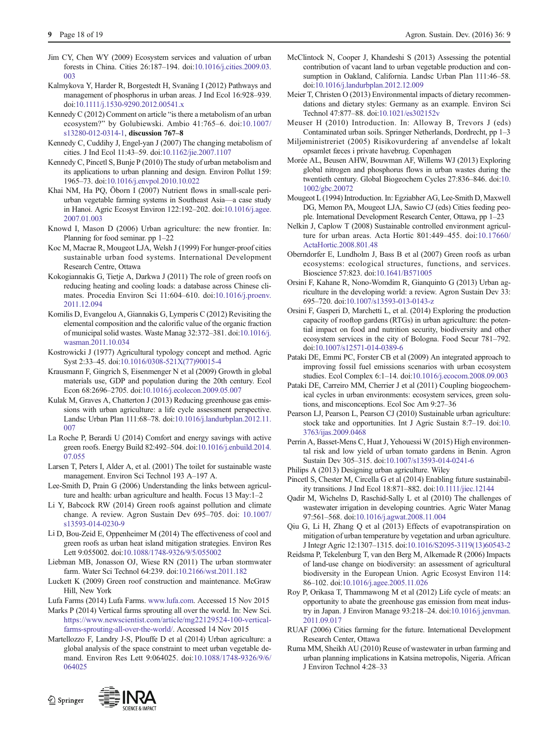- <span id="page-17-0"></span>Jim CY, Chen WY (2009) Ecosystem services and valuation of urban forests in China. Cities 26:187–194. doi[:10.1016/j.cities.2009.03.](http://dx.doi.org/10.1016/j.cities.2009.03.003) [003](http://dx.doi.org/10.1016/j.cities.2009.03.003)
- Kalmykova Y, Harder R, Borgestedt H, Svanäng I (2012) Pathways and management of phosphorus in urban areas. J Ind Ecol 16:928–939. doi:[10.1111/j.1530-9290.2012.00541.x](http://dx.doi.org/10.1111/j.1530-9290.2012.00541.x)
- Kennedy C (2012) Comment on article "is there a metabolism of an urban ecosystem?" by Golubiewski. Ambio 41:765–6. doi[:10.1007/](http://dx.doi.org/10.1007/s13280-012-0314-1) [s13280-012-0314-1,](http://dx.doi.org/10.1007/s13280-012-0314-1) discussion 767–8
- Kennedy C, Cuddihy J, Engel-yan J (2007) The changing metabolism of cities. J Ind Ecol 11:43–59. doi[:10.1162/jie.2007.1107](http://dx.doi.org/10.1162/jie.2007.1107)
- Kennedy C, Pincetl S, Bunje P (2010) The study of urban metabolism and its applications to urban planning and design. Environ Pollut 159: 1965–73. doi[:10.1016/j.envpol.2010.10.022](http://dx.doi.org/10.1016/j.envpol.2010.10.022)
- Khai NM, Ha PQ, Öborn I (2007) Nutrient flows in small-scale periurban vegetable farming systems in Southeast Asia—a case study in Hanoi. Agric Ecosyst Environ 122:192–202. doi[:10.1016/j.agee.](http://dx.doi.org/10.1016/j.agee.2007.01.003) [2007.01.003](http://dx.doi.org/10.1016/j.agee.2007.01.003)
- Knowd I, Mason D (2006) Urban agriculture: the new frontier. In: Planning for food seminar. pp 1–22
- Koc M, Macrae R, Mougeot LJA, Welsh J (1999) For hunger-proof cities sustainable urban food systems. International Development Research Centre, Ottawa
- Kokogiannakis G, Tietje A, Darkwa J (2011) The role of green roofs on reducing heating and cooling loads: a database across Chinese climates. Procedia Environ Sci 11:604–610. doi[:10.1016/j.proenv.](http://dx.doi.org/10.1016/j.proenv.2011.12.094) [2011.12.094](http://dx.doi.org/10.1016/j.proenv.2011.12.094)
- Komilis D, Evangelou A, Giannakis G, Lymperis C (2012) Revisiting the elemental composition and the calorific value of the organic fraction of municipal solid wastes. Waste Manag 32:372–381. doi:[10.1016/j.](http://dx.doi.org/10.1016/j.wasman.2011.10.034) [wasman.2011.10.034](http://dx.doi.org/10.1016/j.wasman.2011.10.034)
- Kostrowicki J (1977) Agricultural typology concept and method. Agric Syst 2:33–45. doi[:10.1016/0308-521X\(77\)90015-4](http://dx.doi.org/10.1016/0308-521X(77)90015-4)
- Krausmann F, Gingrich S, Eisenmenger N et al (2009) Growth in global materials use, GDP and population during the 20th century. Ecol Econ 68:2696–2705. doi:[10.1016/j.ecolecon.2009.05.007](http://dx.doi.org/10.1016/j.ecolecon.2009.05.007)
- Kulak M, Graves A, Chatterton J (2013) Reducing greenhouse gas emissions with urban agriculture: a life cycle assessment perspective. Landsc Urban Plan 111:68–78. doi[:10.1016/j.landurbplan.2012.11.](http://dx.doi.org/10.1016/j.landurbplan.2012.11.007) [007](http://dx.doi.org/10.1016/j.landurbplan.2012.11.007)
- La Roche P, Berardi U (2014) Comfort and energy savings with active green roofs. Energy Build 82:492–504. doi:[10.1016/j.enbuild.2014.](http://dx.doi.org/10.1016/j.enbuild.2014.07.055) [07.055](http://dx.doi.org/10.1016/j.enbuild.2014.07.055)
- Larsen T, Peters I, Alder A, et al. (2001) The toilet for sustainable waste management. Environ Sci Technol 193 A–197 A.
- Lee-Smith D, Prain G (2006) Understanding the links between agriculture and health: urban agriculture and health. Focus 13 May:1–2
- Li Y, Babcock RW (2014) Green roofs against pollution and climate change. A review. Agron Sustain Dev 695–705. doi: [10.1007/](http://dx.doi.org/10.1007/s13593-014-0230-9) [s13593-014-0230-9](http://dx.doi.org/10.1007/s13593-014-0230-9)
- Li D, Bou-Zeid E, Oppenheimer M (2014) The effectiveness of cool and green roofs as urban heat island mitigation strategies. Environ Res Lett 9:055002. doi[:10.1088/1748-9326/9/5/055002](http://dx.doi.org/10.1088/1748-9326/9/5/055002)
- Liebman MB, Jonasson OJ, Wiese RN (2011) The urban stormwater farm. Water Sci Technol 64:239. doi[:10.2166/wst.2011.182](http://dx.doi.org/10.2166/wst.2011.182)
- Luckett K (2009) Green roof construction and maintenance. McGraw Hill, New York
- Lufa Farms (2014) Lufa Farms. [www.lufa.com](http://www.lufa.com/). Accessed 15 Nov 2015
- Marks P (2014) Vertical farms sprouting all over the world. In: New Sci. [https://www.newscientist.com/article/mg22129524-100-vertical](https://www.newscientist.com/article/mg22129524-100-vertical-farms-sprouting-all-over-the-world/)[farms-sprouting-all-over-the-world/](https://www.newscientist.com/article/mg22129524-100-vertical-farms-sprouting-all-over-the-world/). Accessed 14 Nov 2015
- Martellozzo F, Landry J-S, Plouffe D et al (2014) Urban agriculture: a global analysis of the space constraint to meet urban vegetable demand. Environ Res Lett 9:064025. doi:[10.1088/1748-9326/9/6/](http://dx.doi.org/10.1088/1748-9326/9/6/064025) [064025](http://dx.doi.org/10.1088/1748-9326/9/6/064025)

**◯** Springer



- McClintock N, Cooper J, Khandeshi S (2013) Assessing the potential contribution of vacant land to urban vegetable production and consumption in Oakland, California. Landsc Urban Plan 111:46–58. doi:[10.1016/j.landurbplan.2012.12.009](http://dx.doi.org/10.1016/j.landurbplan.2012.12.009)
- Meier T, Christen O (2013) Environmental impacts of dietary recommendations and dietary styles: Germany as an example. Environ Sci Technol 47:877–88. doi[:10.1021/es302152v](http://dx.doi.org/10.1021/es302152v)
- Meuser H (2010) Introduction. In: Alloway B, Trevors J (eds) Contaminated urban soils. Springer Netherlands, Dordrecht, pp 1–3
- Miljøministreriet (2005) Risikovurdering af anvendelse af lokalt opsamlet fæces i private havebrug. Copenhagen
- Morée AL, Beusen AHW, Bouwman AF, Willems WJ (2013) Exploring global nitrogen and phosphorus flows in urban wastes during the twentieth century. Global Biogeochem Cycles 27:836–846. doi[:10.](http://dx.doi.org/10.1002/gbc.20072) [1002/gbc.20072](http://dx.doi.org/10.1002/gbc.20072)
- Mougeot L (1994) Introduction. In: Egziabher AG, Lee-Smith D, Maxwell DG, Memon PA, Mougeot LJA, Sawio CJ (eds) Cities feeding people. International Development Research Center, Ottawa, pp 1–23
- Nelkin J, Caplow T (2008) Sustainable controlled environment agriculture for urban areas. Acta Hortic 801:449–455. doi[:10.17660/](http://dx.doi.org/10.17660/ActaHortic.2008.801.48) [ActaHortic.2008.801.48](http://dx.doi.org/10.17660/ActaHortic.2008.801.48)
- Oberndorfer E, Lundholm J, Bass B et al (2007) Green roofs as urban ecosystems: ecological structures, functions, and services. Bioscience 57:823. doi[:10.1641/B571005](http://dx.doi.org/10.1641/B571005)
- Orsini F, Kahane R, Nono-Womdim R, Gianquinto G (2013) Urban agriculture in the developing world: a review. Agron Sustain Dev 33: 695–720. doi[:10.1007/s13593-013-0143-z](http://dx.doi.org/10.1007/s13593-013-0143-z)
- Orsini F, Gasperi D, Marchetti L, et al. (2014) Exploring the production capacity of rooftop gardens (RTGs) in urban agriculture: the potential impact on food and nutrition security, biodiversity and other ecosystem services in the city of Bologna. Food Secur 781–792. doi:[10.1007/s12571-014-0389-6](http://dx.doi.org/10.1007/s12571-014-0389-6)
- Pataki DE, Emmi PC, Forster CB et al (2009) An integrated approach to improving fossil fuel emissions scenarios with urban ecosystem studies. Ecol Complex 6:1–14. doi:[10.1016/j.ecocom.2008.09.003](http://dx.doi.org/10.1016/j.ecocom.2008.09.003)
- Pataki DE, Carreiro MM, Cherrier J et al (2011) Coupling biogeochemical cycles in urban environments: ecosystem services, green solutions, and misconceptions. Ecol Soc Am 9:27–36
- Pearson LJ, Pearson L, Pearson CJ (2010) Sustainable urban agriculture: stock take and opportunities. Int J Agric Sustain 8:7–19. doi:[10.](http://dx.doi.org/10.3763/ijas.2009.0468) [3763/ijas.2009.0468](http://dx.doi.org/10.3763/ijas.2009.0468)
- Perrin A, Basset-Mens C, Huat J, Yehouessi W (2015) High environmental risk and low yield of urban tomato gardens in Benin. Agron Sustain Dev 305–315. doi[:10.1007/s13593-014-0241-6](http://dx.doi.org/10.1007/s13593-014-0241-6)

Philips A (2013) Designing urban agriculture. Wiley

- Pincetl S, Chester M, Circella G et al (2014) Enabling future sustainability transitions. J Ind Ecol 18:871–882. doi[:10.1111/jiec.12144](http://dx.doi.org/10.1111/jiec.12144)
- Qadir M, Wichelns D, Raschid-Sally L et al (2010) The challenges of wastewater irrigation in developing countries. Agric Water Manag 97:561–568. doi[:10.1016/j.agwat.2008.11.004](http://dx.doi.org/10.1016/j.agwat.2008.11.004)
- Qiu G, Li H, Zhang Q et al (2013) Effects of evapotranspiration on mitigation of urban temperature by vegetation and urban agriculture. J Integr Agric 12:1307–1315. doi[:10.1016/S2095-3119\(13\)60543-2](http://dx.doi.org/10.1016/S2095-3119(13)60543-2)
- Reidsma P, Tekelenburg T, van den Berg M, Alkemade R (2006) Impacts of land-use change on biodiversity: an assessment of agricultural biodiversity in the European Union. Agric Ecosyst Environ 114: 86–102. doi[:10.1016/j.agee.2005.11.026](http://dx.doi.org/10.1016/j.agee.2005.11.026)
- Roy P, Orikasa T, Thammawong M et al (2012) Life cycle of meats: an opportunity to abate the greenhouse gas emission from meat industry in Japan. J Environ Manage 93:218–24. doi:[10.1016/j.jenvman.](http://dx.doi.org/10.1016/j.jenvman.2011.09.017) [2011.09.017](http://dx.doi.org/10.1016/j.jenvman.2011.09.017)
- RUAF (2006) Cities farming for the future. International Development Research Center, Ottawa
- Ruma MM, Sheikh AU (2010) Reuse of wastewater in urban farming and urban planning implications in Katsina metropolis, Nigeria. African J Environ Technol 4:28–33